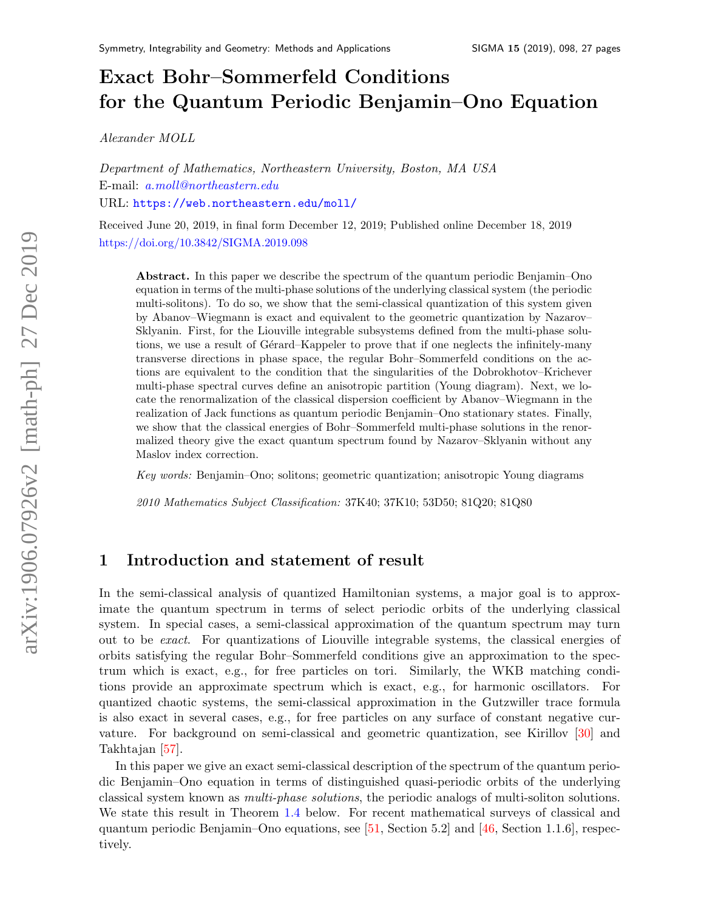# Exact Bohr–Sommerfeld Conditions for the Quantum Periodic Benjamin–Ono Equation

Alexander MOLL

Department of Mathematics, Northeastern University, Boston, MA USA E-mail: [a.moll@northeastern.edu](mailto:a.moll@northeastern.edu) URL: <https://web.northeastern.edu/moll/>

Received June 20, 2019, in final form December 12, 2019; Published online December 18, 2019 <https://doi.org/10.3842/SIGMA.2019.098>

Abstract. In this paper we describe the spectrum of the quantum periodic Benjamin–Ono equation in terms of the multi-phase solutions of the underlying classical system (the periodic multi-solitons). To do so, we show that the semi-classical quantization of this system given by Abanov–Wiegmann is exact and equivalent to the geometric quantization by Nazarov– Sklyanin. First, for the Liouville integrable subsystems defined from the multi-phase solutions, we use a result of Gérard–Kappeler to prove that if one neglects the infinitely-many transverse directions in phase space, the regular Bohr–Sommerfeld conditions on the actions are equivalent to the condition that the singularities of the Dobrokhotov–Krichever multi-phase spectral curves define an anisotropic partition (Young diagram). Next, we locate the renormalization of the classical dispersion coefficient by Abanov–Wiegmann in the realization of Jack functions as quantum periodic Benjamin–Ono stationary states. Finally, we show that the classical energies of Bohr–Sommerfeld multi-phase solutions in the renormalized theory give the exact quantum spectrum found by Nazarov–Sklyanin without any Maslov index correction.

Key words: Benjamin–Ono; solitons; geometric quantization; anisotropic Young diagrams

2010 Mathematics Subject Classification: 37K40; 37K10; 53D50; 81Q20; 81Q80

## <span id="page-0-0"></span>1 Introduction and statement of result

In the semi-classical analysis of quantized Hamiltonian systems, a major goal is to approximate the quantum spectrum in terms of select periodic orbits of the underlying classical system. In special cases, a semi-classical approximation of the quantum spectrum may turn out to be exact. For quantizations of Liouville integrable systems, the classical energies of orbits satisfying the regular Bohr–Sommerfeld conditions give an approximation to the spectrum which is exact, e.g., for free particles on tori. Similarly, the WKB matching conditions provide an approximate spectrum which is exact, e.g., for harmonic oscillators. For quantized chaotic systems, the semi-classical approximation in the Gutzwiller trace formula is also exact in several cases, e.g., for free particles on any surface of constant negative curvature. For background on semi-classical and geometric quantization, see Kirillov [\[30\]](#page-25-0) and Takhtajan [\[57\]](#page-26-0).

In this paper we give an exact semi-classical description of the spectrum of the quantum periodic Benjamin–Ono equation in terms of distinguished quasi-periodic orbits of the underlying classical system known as multi-phase solutions, the periodic analogs of multi-soliton solutions. We state this result in Theorem [1.4](#page-3-0) below. For recent mathematical surveys of classical and quantum periodic Benjamin–Ono equations, see  $[51, \text{Section 5.2}]$  and  $[46, \text{Section 1.1.6}]$ , respectively.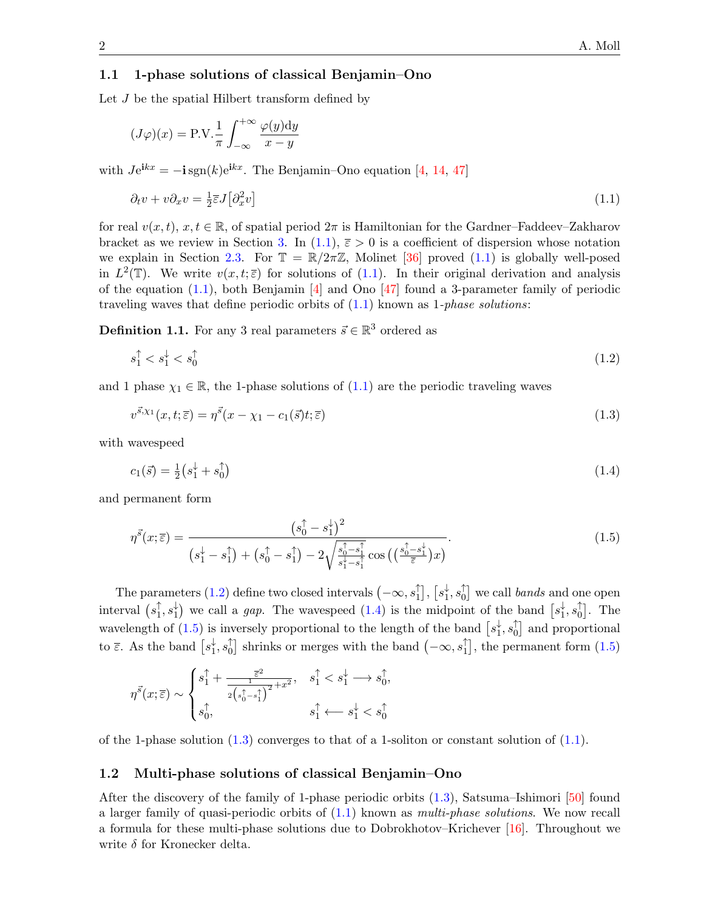#### 1.1 1-phase solutions of classical Benjamin–Ono

Let J be the spatial Hilbert transform defined by

$$
(J\varphi)(x) = \text{P.V.} \frac{1}{\pi} \int_{-\infty}^{+\infty} \frac{\varphi(y) \, \mathrm{d}y}{x - y}
$$

with  $Je^{ikx} = -i \text{sgn}(k)e^{ikx}$ . The Benjamin–Ono equation [\[4,](#page-24-0) [14,](#page-25-1) [47\]](#page-26-3)

<span id="page-1-0"></span>
$$
\partial_t v + v \partial_x v = \frac{1}{2} \overline{\varepsilon} J \left[ \partial_x^2 v \right] \tag{1.1}
$$

for real  $v(x, t)$ ,  $x, t \in \mathbb{R}$ , of spatial period  $2\pi$  is Hamiltonian for the Gardner–Faddeev–Zakharov bracket as we review in Section [3.](#page-6-0) In  $(1.1)$ ,  $\bar{\varepsilon} > 0$  is a coefficient of dispersion whose notation we explain in Section [2.3.](#page-6-1) For  $\mathbb{T} = \mathbb{R}/2\pi\mathbb{Z}$ , Molinet [\[36\]](#page-26-4) proved [\(1.1\)](#page-1-0) is globally well-posed in  $L^2(\mathbb{T})$ . We write  $v(x,t;\overline{\varepsilon})$  for solutions of [\(1.1\)](#page-1-0). In their original derivation and analysis of the equation  $(1.1)$ , both Benjamin [\[4\]](#page-24-0) and Ono [\[47\]](#page-26-3) found a 3-parameter family of periodic traveling waves that define periodic orbits of  $(1.1)$  known as 1-phase solutions:

**Definition 1.1.** For any 3 real parameters  $\vec{s} \in \mathbb{R}^3$  ordered as

<span id="page-1-1"></span>
$$
s_1^\uparrow < s_1^\downarrow < s_0^\uparrow \tag{1.2}
$$

and 1 phase  $\chi_1 \in \mathbb{R}$ , the 1-phase solutions of  $(1.1)$  are the periodic traveling waves

<span id="page-1-4"></span>
$$
v^{\vec{s},\chi_1}(x,t;\bar{\varepsilon}) = \eta^{\vec{s}}(x-\chi_1 - c_1(\vec{s})t;\bar{\varepsilon})\tag{1.3}
$$

with wavespeed

<span id="page-1-2"></span>
$$
c_1(\vec{s}) = \frac{1}{2}(s_1^{\downarrow} + s_0^{\uparrow}) \tag{1.4}
$$

and permanent form

<span id="page-1-3"></span>
$$
\eta^{\vec{s}}(x;\bar{\varepsilon}) = \frac{(s_0^{\uparrow} - s_1^{\downarrow})^2}{(s_1^{\downarrow} - s_1^{\uparrow}) + (s_0^{\uparrow} - s_1^{\uparrow}) - 2\sqrt{\frac{s_0^{\uparrow} - s_1^{\uparrow}}{s_1^{\downarrow} - s_1^{\uparrow}}}\cos\left(\left(\frac{s_0^{\uparrow} - s_1^{\downarrow}}{\bar{\varepsilon}}\right)x\right)}.
$$
\n(1.5)

The parameters [\(1.2\)](#page-1-1) define two closed intervals  $(-\infty, s_1^{\uparrow})$  $_{1}^{\uparrow}$ ],  $[s_{1}^{\downarrow}% ,\tilde{a}_{1}^{\downarrow}]$  $_1^\downarrow,s_0^\uparrow$  $\begin{bmatrix} 0 \ 0 \end{bmatrix}$  we call *bands* and one open interval  $(s_1^{\uparrow})$  $_{1}^{\uparrow},s_{1}^{\downarrow}$  $\downarrow$  we call a *gap*. The wavespeed [\(1.4\)](#page-1-2) is the midpoint of the band  $\left[ s_1^{\downarrow} \right]$  $_1^\downarrow,s_0^\uparrow$  $\begin{bmatrix} 1 \\ 0 \end{bmatrix}$ . The wavelength of [\(1.5\)](#page-1-3) is inversely proportional to the length of the band  $\left[s_1^{\downarrow}\right]$  $_1^\downarrow,s_0^\uparrow$  $\begin{bmatrix} 0 \\ 0 \end{bmatrix}$  and proportional to  $\bar{\varepsilon}$ . As the band  $\lceil s_1^{\downarrow} \rceil$  $_1^\downarrow,s_0^\uparrow$  $\int_0^{\uparrow}$  shrinks or merges with the band  $(-\infty, s_1^{\uparrow})$  $\begin{bmatrix} 1 \end{bmatrix}$ , the permanent form  $(1.5)$ 

$$
\eta^{\vec{s}}(x;\overline{\varepsilon})\sim \begin{cases} s_1^{\uparrow}+\frac{\overline{\varepsilon}^2}{2\left(s_0^{\uparrow}-s_1^{\uparrow}\right)^2}+x^2, & s_1^{\uparrow}
$$

of the 1-phase solution  $(1.3)$  converges to that of a 1-soliton or constant solution of  $(1.1)$ .

#### 1.2 Multi-phase solutions of classical Benjamin–Ono

After the discovery of the family of 1-phase periodic orbits  $(1.3)$ , Satsuma–Ishimori  $\overline{50}$  found a larger family of quasi-periodic orbits of  $(1.1)$  known as *multi-phase solutions*. We now recall a formula for these multi-phase solutions due to Dobrokhotov–Krichever [\[16\]](#page-25-2). Throughout we write  $\delta$  for Kronecker delta.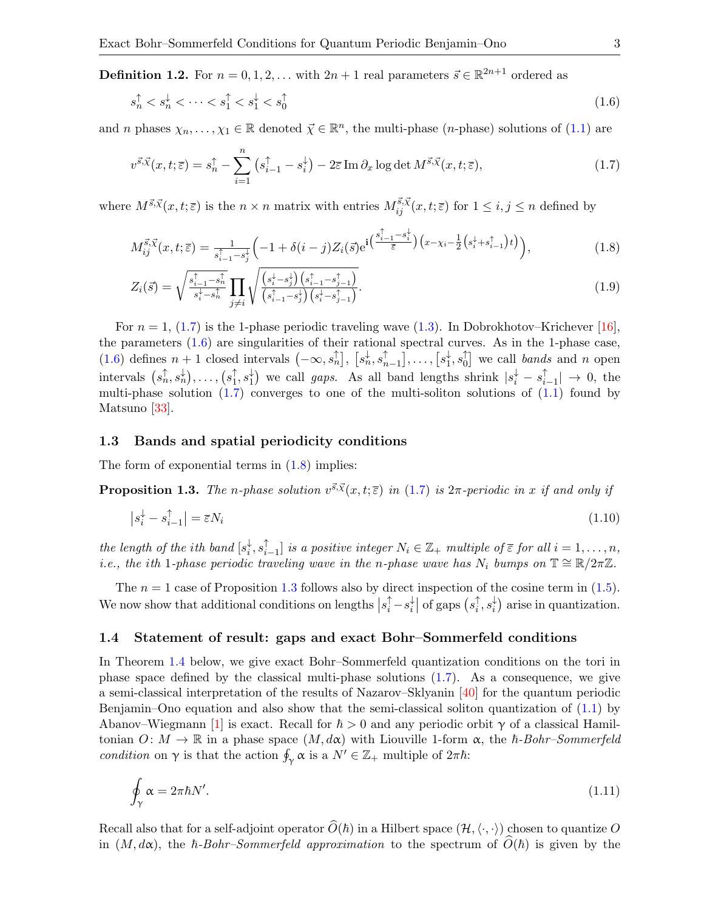**Definition 1.2.** For  $n = 0, 1, 2, ...$  with  $2n + 1$  real parameters  $\vec{s} \in \mathbb{R}^{2n+1}$  ordered as

<span id="page-2-1"></span>
$$
s_n^{\uparrow} < s_n^{\downarrow} < \dots < s_1^{\uparrow} < s_1^{\downarrow} < s_0^{\uparrow} \tag{1.6}
$$

and *n* phases  $\chi_n, \ldots, \chi_1 \in \mathbb{R}$  denoted  $\vec{\chi} \in \mathbb{R}^n$ , the multi-phase (*n*-phase) solutions of [\(1.1\)](#page-1-0) are

<span id="page-2-0"></span>
$$
v^{\vec{s},\vec{\chi}}(x,t;\bar{\varepsilon}) = s_n^{\uparrow} - \sum_{i=1}^n \left( s_{i-1}^{\uparrow} - s_i^{\downarrow} \right) - 2\bar{\varepsilon} \operatorname{Im} \partial_x \log \det M^{\vec{s},\vec{\chi}}(x,t;\bar{\varepsilon}), \tag{1.7}
$$

where  $M^{\vec{s},\vec{\chi}}(x,t;\overline{\epsilon})$  is the  $n \times n$  matrix with entries  $M^{\vec{s},\vec{\chi}}_{ij}(x,t;\overline{\epsilon})$  for  $1 \leq i,j \leq n$  defined by

<span id="page-2-2"></span>
$$
M_{ij}^{\vec{s},\vec{\chi}}(x,t;\bar{\varepsilon}) = \frac{1}{s_{i-1}^{\uparrow} - s_j^{\downarrow}} \left( -1 + \delta(i-j) Z_i(\vec{s}) e^{i \left( \frac{s_{i-1}^{\uparrow} - s_i^{\downarrow}}{\bar{\varepsilon}} \right) \left( x - \chi_i - \frac{1}{2} \left( s_i^{\downarrow} + s_{i-1}^{\uparrow} \right) t \right)} \right),\tag{1.8}
$$

$$
Z_i(\vec{s}) = \sqrt{\frac{s_{i-1}^{\uparrow} - s_n^{\uparrow}}{s_i^{\downarrow} - s_n^{\uparrow}}} \prod_{j \neq i} \sqrt{\frac{\left(s_i^{\downarrow} - s_j^{\downarrow}\right)\left(s_{i-1}^{\uparrow} - s_{j-1}^{\uparrow}\right)}{\left(s_{i-1}^{\uparrow} - s_j^{\downarrow}\right)\left(s_i^{\downarrow} - s_{j-1}^{\uparrow}\right)}}.
$$
\n(1.9)

For  $n = 1$ , [\(1.7\)](#page-2-0) is the 1-phase periodic traveling wave [\(1.3\)](#page-1-4). In Dobrokhotov–Krichever [\[16\]](#page-25-2), the parameters  $(1.6)$  are singularities of their rational spectral curves. As in the 1-phase case, [\(1.6\)](#page-2-1) defines  $n+1$  closed intervals  $(-\infty, s_n)$ ,  $[s_n^{\downarrow}, s_n^{\uparrow}]$  $_{n-1}^{\uparrow}], \ldots, [s_1^{\downarrow}]$  $_1^\downarrow,s_0^\uparrow$  $\begin{bmatrix} 0 \\ 0 \end{bmatrix}$  we call *bands* and *n* open intervals  $(s_n^{\uparrow}, s_n^{\downarrow}), \ldots, (s_1^{\uparrow})$  $_{1}^{\uparrow},s_{1}^{\downarrow}$  $\downarrow$  we call gaps. As all band lengths shrink  $|s_i^{\downarrow} - s_i^{\uparrow}|$  $|_{i-1}^{T}|$  → 0, the multi-phase solution  $(1.7)$  converges to one of the multi-soliton solutions of  $(1.1)$  found by Matsuno [\[33\]](#page-25-3).

#### 1.3 Bands and spatial periodicity conditions

The form of exponential terms in  $(1.8)$  implies:

<span id="page-2-3"></span>**Proposition 1.3.** The n-phase solution  $v^{\vec{s}}\cdot\vec{x}(x, t; \overline{\epsilon})$  in [\(1.7\)](#page-2-0) is  $2\pi$ -periodic in x if and only if

<span id="page-2-5"></span>
$$
\left|s_i^{\downarrow} - s_{i-1}^{\uparrow}\right| = \overline{\varepsilon} N_i \tag{1.10}
$$

the length of the ith band  $[s_i^{\downarrow}]$  $_{i}^{\downarrow},s_{i}^{\uparrow}$  $\bigcap_{i=1}^{\uparrow}$  is a positive integer  $N_i \in \mathbb{Z}_+$  multiple of  $\overline{\varepsilon}$  for all  $i = 1, \ldots, n$ , i.e., the ith 1-phase periodic traveling wave in the n-phase wave has  $N_i$  bumps on  $\mathbb{T} \cong \mathbb{R}/2\pi\mathbb{Z}$ .

The  $n = 1$  case of Proposition [1.3](#page-2-3) follows also by direct inspection of the cosine term in [\(1.5\)](#page-1-3). We now show that additional conditions on lengths  $|s_i^{\uparrow} - s_i^{\downarrow}|$  $s_i^{\downarrow}$  of gaps  $(s_i^{\uparrow})$  $_{i}^{\uparrow},s_{i}^{\downarrow}$  $\binom{1}{i}$  arise in quantization.

#### 1.4 Statement of result: gaps and exact Bohr–Sommerfeld conditions

In Theorem [1.4](#page-3-0) below, we give exact Bohr–Sommerfeld quantization conditions on the tori in phase space defined by the classical multi-phase solutions [\(1.7\)](#page-2-0). As a consequence, we give a semi-classical interpretation of the results of Nazarov–Sklyanin [\[40\]](#page-26-6) for the quantum periodic Benjamin–Ono equation and also show that the semi-classical soliton quantization of [\(1.1\)](#page-1-0) by Abanov–Wiegmann [\[1\]](#page-24-1) is exact. Recall for  $\hbar > 0$  and any periodic orbit  $\gamma$  of a classical Hamiltonian  $O: M \to \mathbb{R}$  in a phase space  $(M, d\alpha)$  with Liouville 1-form  $\alpha$ , the  $\hbar$ -Bohr–Sommerfeld condition on  $\gamma$  is that the action  $\oint_{\gamma} \alpha$  is a  $N' \in \mathbb{Z}_+$  multiple of  $2\pi\hbar$ :

<span id="page-2-4"></span>
$$
\oint_{\gamma} \alpha = 2\pi \hbar N'.\tag{1.11}
$$

Recall also that for a self-adjoint operator  $\widehat{O}(\hbar)$  in a Hilbert space  $(\mathcal{H},\langle\cdot,\cdot\rangle)$  chosen to quantize O in  $(M, d\alpha)$ , the  $\hbar$ -Bohr–Sommerfeld approximation to the spectrum of  $\tilde{O}(\hbar)$  is given by the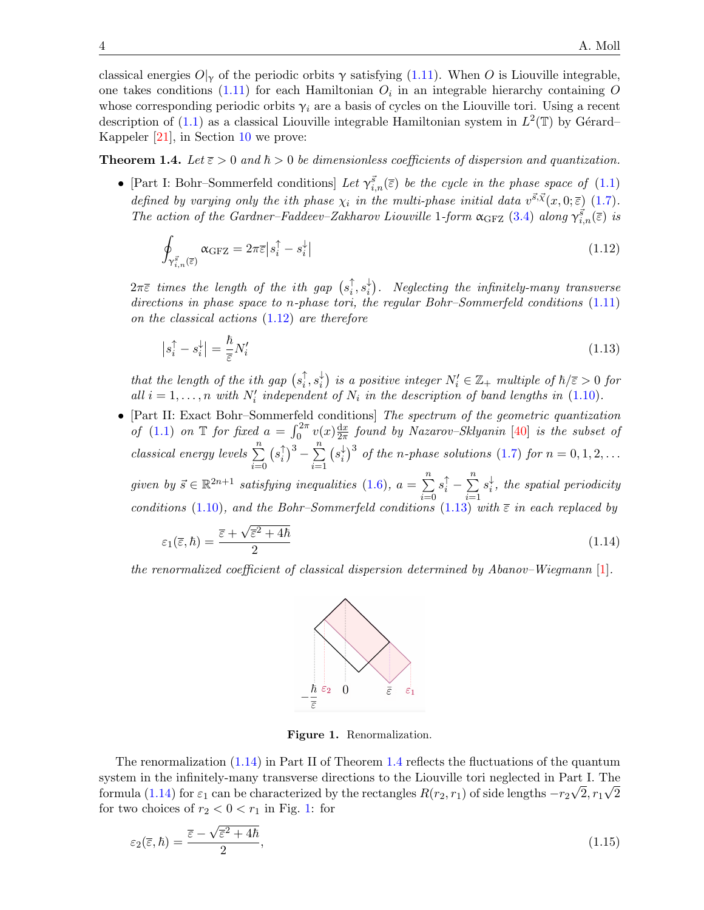classical energies  $O|_{\gamma}$  of the periodic orbits  $\gamma$  satisfying [\(1.11\)](#page-2-4). When O is Liouville integrable, one takes conditions  $(1.11)$  for each Hamiltonian  $O_i$  in an integrable hierarchy containing O whose corresponding periodic orbits  $\gamma_i$  are a basis of cycles on the Liouville tori. Using a recent description of [\(1.1\)](#page-1-0) as a classical Liouville integrable Hamiltonian system in  $L^2(\mathbb{T})$  by Gérard– Kappeler [\[21\]](#page-25-4), in Section [10](#page-20-0) we prove:

<span id="page-3-0"></span>**Theorem 1.4.** Let  $\bar{\epsilon} > 0$  and  $\hbar > 0$  be dimensionless coefficients of dispersion and quantization.

• [Part I: Bohr–Sommerfeld conditions] Let  $\gamma_{i,n}^{\vec{s}}(\bar{z})$  be the cycle in the phase space of [\(1.1\)](#page-1-0) defined by varying only the ith phase  $\chi_i$  in the multi-phase initial data  $v^{\vec{s}}\cdot\vec{x}(x,0;\bar{\varepsilon})$  [\(1.7\)](#page-2-0). The action of the Gardner–Faddeev–Zakharov Liouville 1-form  $\alpha_{\text{GFZ}}$  [\(3.4\)](#page-7-0) along  $\gamma_{i,n}^{\vec{s}}(\bar{\epsilon})$  is

<span id="page-3-1"></span>
$$
\oint_{\gamma_{i,n}^{\vec{s}}(\bar{\varepsilon})} \alpha_{\text{GFZ}} = 2\pi \bar{\varepsilon} \left| s_i^{\uparrow} - s_i^{\downarrow} \right| \tag{1.12}
$$

 $2\pi\overline{\varepsilon}$  times the length of the ith gap  $(s_i^{\uparrow})$  $_{i}^{\uparrow },s_{i}^{\downarrow }$  $\downarrow_i^{\downarrow}$ ). Neglecting the infinitely-many transverse directions in phase space to n-phase tori, the regular Bohr–Sommerfeld conditions  $(1.11)$ on the classical actions [\(1.12\)](#page-3-1) are therefore

$$
\left|s_i^{\uparrow} - s_i^{\downarrow}\right| = \frac{\hbar}{\overline{\varepsilon}} N_i' \tag{1.13}
$$

that the length of the ith gap  $(s_i)$  $_{i}^{\uparrow},s_{i}^{\downarrow}$  $\chi_i^{\downarrow}$ ) is a positive integer  $N_i' \in \mathbb{Z}_+$  multiple of  $\hbar/\overline{\varepsilon} > 0$  for all  $i = 1, \ldots, n$  with  $N'_i$  independent of  $N_i$  in the description of band lengths in [\(1.10\)](#page-2-5).

• [Part II: Exact Bohr–Sommerfeld conditions] The spectrum of the geometric quantization of [\(1.1\)](#page-1-0) on T for fixed  $a = \int_0^{2\pi} v(x) \frac{dx}{2\pi}$  $\frac{\mathrm{d}x}{2\pi}$  found by Nazarov–Sklyanin  $[40]$  is the subset of classical energy levels  $\sum_{n=1}^{\infty}$  $i=0$  $(s_i)$  $\binom{n}{i}^3 - \sum_{i=1}^n$  $i=1$  $(s_i^{\downarrow})$  $\frac{1}{i}$ <sup>3</sup> of the n-phase solutions [\(1.7\)](#page-2-0) for  $n = 0, 1, 2, ...$ given by  $\vec{s} \in \mathbb{R}^{2n+1}$  satisfying inequalities [\(1.6\)](#page-2-1),  $a = \sum_{n=1}^{\infty}$  $i=0$  $s_i^{\uparrow} - \sum_{i=1}^n$  $i=1$  $s_i^{\downarrow}$  $\frac{1}{i}$ , the spatial periodicity conditions [\(1.10\)](#page-2-5), and the Bohr–Sommerfeld conditions [\(1.13\)](#page-3-2) with  $\bar{\varepsilon}$  in each replaced by √

$$
\varepsilon_1(\overline{\varepsilon},\hbar) = \frac{\overline{\varepsilon} + \sqrt{\overline{\varepsilon}^2 + 4\hbar}}{2} \tag{1.14}
$$

the renormalized coefficient of classical dispersion determined by Abanov–Wiegmann [\[1\]](#page-24-1).

<span id="page-3-3"></span><span id="page-3-2"></span>

<span id="page-3-5"></span><span id="page-3-4"></span>Figure 1. Renormalization.

The renormalization [\(1.14\)](#page-3-3) in Part II of Theorem [1.4](#page-3-0) reflects the fluctuations of the quantum system in the infinitely-many transverse directions to the Liouville tori neglected in Part I. The formula [\(1.14\)](#page-3-3) for  $\varepsilon_1$  can be characterized by the rectangles  $R(r_2, r_1)$  of side lengths  $-r_2\sqrt{2}, r_1\sqrt{2}$ for two choices of  $r_2 < 0 < r_1$  in Fig. [1:](#page-3-4) for

$$
\varepsilon_2(\bar{\varepsilon},\hbar) = \frac{\bar{\varepsilon} - \sqrt{\bar{\varepsilon}^2 + 4\hbar}}{2},\tag{1.15}
$$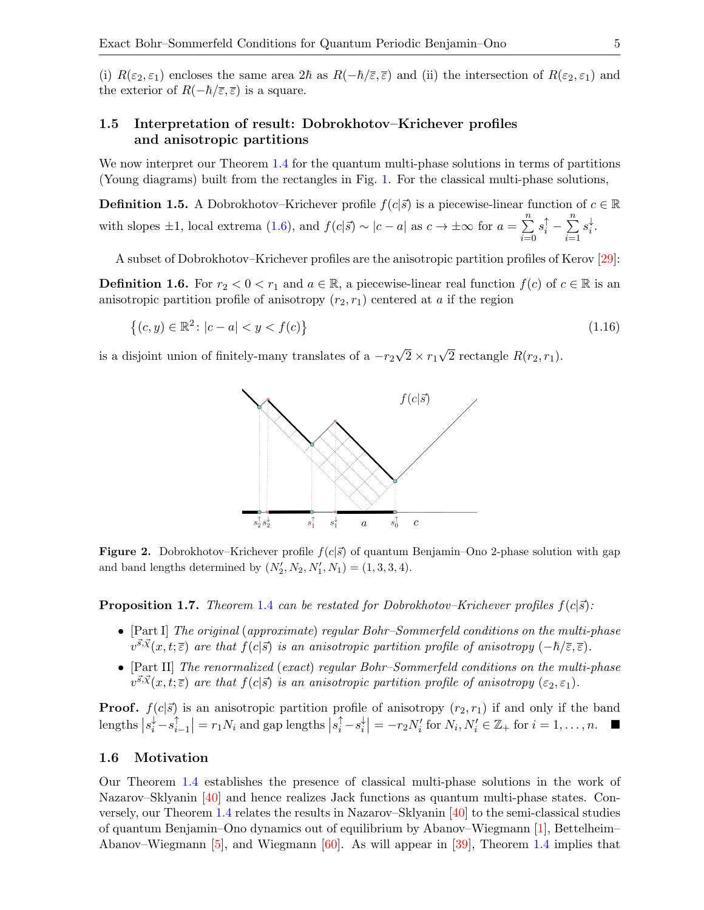(i)  $R(\varepsilon_2, \varepsilon_1)$  encloses the same area  $2\hbar$  as  $R(-\hbar/\overline{\varepsilon}, \overline{\varepsilon})$  and (ii) the intersection of  $R(\varepsilon_2, \varepsilon_1)$  and the exterior of  $R(-\hbar/\bar{\varepsilon}, \bar{\varepsilon})$  is a square.

### 1.5 Interpretation of result: Dobrokhotov–Krichever profiles and anisotropic partitions

We now interpret our Theorem [1.4](#page-3-0) for the quantum multi-phase solutions in terms of partitions (Young diagrams) built from the rectangles in Fig. [1.](#page-3-4) For the classical multi-phase solutions,

<span id="page-4-3"></span>**Definition 1.5.** A Dobrokhotov–Krichever profile  $f(c|\vec{s})$  is a piecewise-linear function of  $c \in \mathbb{R}$ with slopes  $\pm 1$ , local extrema [\(1.6\)](#page-2-1), and  $f(c|\vec{s}) \sim |c - a|$  as  $c \to \pm \infty$  for  $a = \sum_{n=1}^{\infty}$  $i=0$  $s_i^{\uparrow} - \sum_{i=1}^n$  $i=1$  $s_i^{\downarrow}$  $\frac{1}{i}$ .

A subset of Dobrokhotov–Krichever profiles are the anisotropic partition profiles of Kerov [\[29\]](#page-25-5):

<span id="page-4-0"></span>**Definition 1.6.** For  $r_2 < 0 < r_1$  and  $a \in \mathbb{R}$ , a piecewise-linear real function  $f(c)$  of  $c \in \mathbb{R}$  is an anisotropic partition profile of anisotropy  $(r_2, r_1)$  centered at a if the region

$$
\{(c, y) \in \mathbb{R}^2 : |c - a| < y < f(c)\}\tag{1.16}
$$

is a disjoint union of finitely-many translates of a  $-r_2$ √  $2 \times r_1$ √ 2 rectangle  $R(r_2, r_1)$ .

<span id="page-4-1"></span>

<span id="page-4-2"></span>**Figure 2.** Dobrokhotov–Krichever profile  $f(c|\vec{s})$  of quantum Benjamin–Ono 2-phase solution with gap and band lengths determined by  $(N'_2, N_2, N'_1, N_1) = (1, 3, 3, 4)$ .

**Proposition 1.7.** Theorem [1.4](#page-3-0) can be restated for Dobrokhotov–Krichever profiles  $f(c|\vec{s})$ :

- [Part I] The original (approximate) regular Bohr–Sommerfeld conditions on the multi-phase  $v^{\vec{s},\vec{x}}(x,t;\overline{\epsilon})$  are that  $f(c|\vec{s})$  is an anisotropic partition profile of anisotropy  $(-\hbar/\overline{\epsilon},\overline{\epsilon})$ .
- [Part II] The renormalized (exact) regular Bohr–Sommerfeld conditions on the multi-phase  $v^{\vec{s},\vec{x}}(x,t;\overline{\epsilon})$  are that  $f(c|\vec{s})$  is an anisotropic partition profile of anisotropy  $(\epsilon_2,\epsilon_1)$ .

**Proof.**  $f(c|\vec{s})$  is an anisotropic partition profile of anisotropy  $(r_2, r_1)$  if and only if the band lengths  $|s_i^{\downarrow} - s_i^{\uparrow}|$  $\left|\sum_{i=1}^{n} \right| = r_1 N_i$  and gap lengths  $\left| s_i^{\uparrow} - s_i^{\downarrow} \right|$  $\mathbb{E}_{i}^{\downarrow}$  =  $-r_{2}N'_{i}$  for  $N_{i}, N'_{i} \in \mathbb{Z}_{+}$  for  $i = 1, ..., n$ .

#### 1.6 Motivation

Our Theorem [1.4](#page-3-0) establishes the presence of classical multi-phase solutions in the work of Nazarov–Sklyanin [\[40\]](#page-26-6) and hence realizes Jack functions as quantum multi-phase states. Conversely, our Theorem [1.4](#page-3-0) relates the results in Nazarov–Sklyanin [\[40\]](#page-26-6) to the semi-classical studies of quantum Benjamin–Ono dynamics out of equilibrium by Abanov–Wiegmann [\[1\]](#page-24-1), Bettelheim– Abanov–Wiegmann [\[5\]](#page-24-2), and Wiegmann  $[60]$ . As will appear in [\[39\]](#page-26-8), Theorem [1.4](#page-3-0) implies that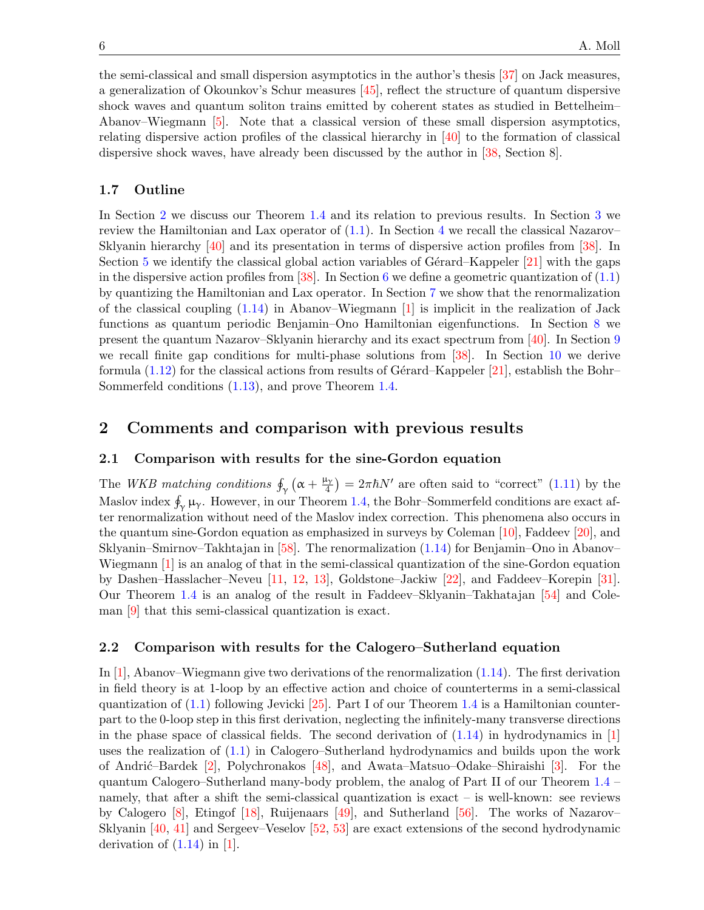the semi-classical and small dispersion asymptotics in the author's thesis [\[37\]](#page-26-9) on Jack measures, a generalization of Okounkov's Schur measures [\[45\]](#page-26-10), reflect the structure of quantum dispersive shock waves and quantum soliton trains emitted by coherent states as studied in Bettelheim– Abanov–Wiegmann [\[5\]](#page-24-2). Note that a classical version of these small dispersion asymptotics, relating dispersive action profiles of the classical hierarchy in [\[40\]](#page-26-6) to the formation of classical dispersive shock waves, have already been discussed by the author in [\[38,](#page-26-11) Section 8].

### 1.7 Outline

In Section [2](#page-5-0) we discuss our Theorem [1.4](#page-3-0) and its relation to previous results. In Section [3](#page-6-0) we review the Hamiltonian and Lax operator of  $(1.1)$ . In Section [4](#page-8-0) we recall the classical Nazarov– Sklyanin hierarchy [\[40\]](#page-26-6) and its presentation in terms of dispersive action profiles from [\[38\]](#page-26-11). In Section [5](#page-11-0) we identify the classical global action variables of Gérard–Kappeler  $[21]$  with the gaps in the dispersive action profiles from  $[38]$ . In Section [6](#page-13-0) we define a geometric quantization of  $(1.1)$ by quantizing the Hamiltonian and Lax operator. In Section [7](#page-15-0) we show that the renormalization of the classical coupling  $(1.14)$  in Abanov–Wiegmann  $[1]$  is implicit in the realization of Jack functions as quantum periodic Benjamin–Ono Hamiltonian eigenfunctions. In Section [8](#page-16-0) we present the quantum Nazarov–Sklyanin hierarchy and its exact spectrum from [\[40\]](#page-26-6). In Section [9](#page-19-0) we recall finite gap conditions for multi-phase solutions from [\[38\]](#page-26-11). In Section [10](#page-20-0) we derive formula  $(1.12)$  for the classical actions from results of Gérard–Kappeler [\[21\]](#page-25-4), establish the Bohr– Sommerfeld conditions [\(1.13\)](#page-3-2), and prove Theorem [1.4.](#page-3-0)

### <span id="page-5-0"></span>2 Comments and comparison with previous results

#### 2.1 Comparison with results for the sine-Gordon equation

The WKB matching conditions  $\oint_{\gamma} (\alpha + \frac{\mu_{\gamma}}{4})$  $\frac{4\gamma}{4}$  =  $2\pi\hbar N'$  are often said to "correct" [\(1.11\)](#page-2-4) by the Maslov index  $\oint_{\gamma} \mu_{\gamma}$ . However, in our Theorem [1.4,](#page-3-0) the Bohr–Sommerfeld conditions are exact after renormalization without need of the Maslov index correction. This phenomena also occurs in the quantum sine-Gordon equation as emphasized in surveys by Coleman [\[10\]](#page-25-6), Faddeev [\[20\]](#page-25-7), and Sklyanin–Smirnov–Takhtajan in [\[58\]](#page-26-12). The renormalization [\(1.14\)](#page-3-3) for Benjamin–Ono in Abanov– Wiegmann [\[1\]](#page-24-1) is an analog of that in the semi-classical quantization of the sine-Gordon equation by Dashen–Hasslacher–Neveu [\[11,](#page-25-8) [12,](#page-25-9) [13\]](#page-25-10), Goldstone–Jackiw [\[22\]](#page-25-11), and Faddeev–Korepin [\[31\]](#page-25-12). Our Theorem [1.4](#page-3-0) is an analog of the result in Faddeev–Sklyanin–Takhatajan [\[54\]](#page-26-13) and Coleman [\[9\]](#page-25-13) that this semi-classical quantization is exact.

#### 2.2 Comparison with results for the Calogero–Sutherland equation

In  $[1]$ , Abanov–Wiegmann give two derivations of the renormalization  $(1.14)$ . The first derivation in field theory is at 1-loop by an effective action and choice of counterterms in a semi-classical quantization of  $(1.1)$  following Jevicki [\[25\]](#page-25-14). Part I of our Theorem [1.4](#page-3-0) is a Hamiltonian counterpart to the 0-loop step in this first derivation, neglecting the infinitely-many transverse directions in the phase space of classical fields. The second derivation of  $(1.14)$  in hydrodynamics in [\[1\]](#page-24-1) uses the realization of [\(1.1\)](#page-1-0) in Calogero–Sutherland hydrodynamics and builds upon the work of Andri´c–Bardek [\[2\]](#page-24-3), Polychronakos [\[48\]](#page-26-14), and Awata–Matsuo–Odake–Shiraishi [\[3\]](#page-24-4). For the quantum Calogero–Sutherland many-body problem, the analog of Part II of our Theorem [1.4](#page-3-0) – namely, that after a shift the semi-classical quantization is exact – is well-known: see reviews by Calogero [\[8\]](#page-25-15), Etingof [\[18\]](#page-25-16), Ruijenaars [\[49\]](#page-26-15), and Sutherland [\[56\]](#page-26-16). The works of Nazarov– Sklyanin [\[40,](#page-26-6) [41\]](#page-26-17) and Sergeev–Veselov [\[52,](#page-26-18) [53\]](#page-26-19) are exact extensions of the second hydrodynamic derivation of  $(1.14)$  in [\[1\]](#page-24-1).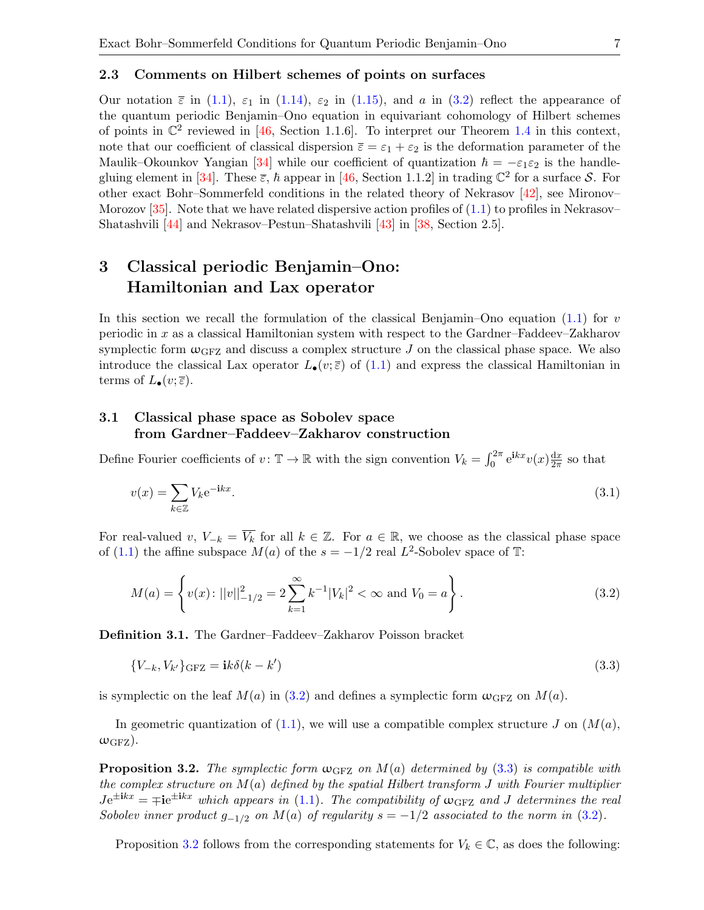#### <span id="page-6-1"></span>2.3 Comments on Hilbert schemes of points on surfaces

Our notation  $\bar{\varepsilon}$  in [\(1.1\)](#page-1-0),  $\varepsilon_1$  in [\(1.14\)](#page-3-3),  $\varepsilon_2$  in [\(1.15\)](#page-3-5), and a in [\(3.2\)](#page-6-2) reflect the appearance of the quantum periodic Benjamin–Ono equation in equivariant cohomology of Hilbert schemes of points in  $\mathbb{C}^2$  reviewed in [\[46,](#page-26-2) Section 1.1.6]. To interpret our Theorem [1.4](#page-3-0) in this context, note that our coefficient of classical dispersion  $\bar{\varepsilon} = \varepsilon_1 + \varepsilon_2$  is the deformation parameter of the Maulik–Okounkov Yangian [\[34\]](#page-25-17) while our coefficient of quantization  $\hbar = -\varepsilon_1 \varepsilon_2$  is the handle-gluing element in [\[34\]](#page-25-17). These  $\bar{\varepsilon}$ ,  $\hbar$  appear in [\[46,](#page-26-2) Section 1.1.2] in trading  $\mathbb{C}^2$  for a surface S. For other exact Bohr–Sommerfeld conditions in the related theory of Nekrasov [\[42\]](#page-26-20), see Mironov– Morozov  $[35]$ . Note that we have related dispersive action profiles of  $(1.1)$  to profiles in Nekrasov– Shatashvili [\[44\]](#page-26-21) and Nekrasov–Pestun–Shatashvili [\[43\]](#page-26-22) in [\[38,](#page-26-11) Section 2.5].

## <span id="page-6-0"></span>3 Classical periodic Benjamin–Ono: Hamiltonian and Lax operator

In this section we recall the formulation of the classical Benjamin–Ono equation  $(1.1)$  for v periodic in x as a classical Hamiltonian system with respect to the Gardner–Faddeev–Zakharov symplectic form  $\omega_{\text{GFZ}}$  and discuss a complex structure J on the classical phase space. We also introduce the classical Lax operator  $L_{\bullet}(v;\bar{\varepsilon})$  of [\(1.1\)](#page-1-0) and express the classical Hamiltonian in terms of  $L_{\bullet}(v;\overline{\varepsilon}).$ 

## 3.1 Classical phase space as Sobolev space from Gardner–Faddeev–Zakharov construction

Define Fourier coefficients of  $v: \mathbb{T} \to \mathbb{R}$  with the sign convention  $V_k = \int_0^{2\pi} e^{ikx} v(x) \frac{dx}{2\pi}$  $\frac{dx}{2\pi}$  so that

<span id="page-6-5"></span>
$$
v(x) = \sum_{k \in \mathbb{Z}} V_k e^{-ikx}.
$$
\n(3.1)

For real-valued v,  $V_{-k} = \overline{V_k}$  for all  $k \in \mathbb{Z}$ . For  $a \in \mathbb{R}$ , we choose as the classical phase space of [\(1.1\)](#page-1-0) the affine subspace  $M(a)$  of the  $s = -1/2$  real  $L^2$ -Sobolev space of T:

<span id="page-6-2"></span>
$$
M(a) = \left\{ v(x) : ||v||_{-1/2}^2 = 2 \sum_{k=1}^{\infty} k^{-1} |V_k|^2 < \infty \text{ and } V_0 = a \right\}.
$$
\n(3.2)

Definition 3.1. The Gardner–Faddeev–Zakharov Poisson bracket

<span id="page-6-3"></span>
$$
\{V_{-k}, V_{k'}\}_{\text{GFZ}} = \mathbf{i}k\delta(k - k')\tag{3.3}
$$

is symplectic on the leaf  $M(a)$  in [\(3.2\)](#page-6-2) and defines a symplectic form  $\omega_{\text{GFZ}}$  on  $M(a)$ .

In geometric quantization of  $(1.1)$ , we will use a compatible complex structure J on  $(M(a),$  $\omega_{\text{GFZ}}$ ).

<span id="page-6-4"></span>**Proposition 3.2.** The symplectic form  $\omega_{GFZ}$  on  $M(a)$  determined by [\(3.3\)](#page-6-3) is compatible with the complex structure on  $M(a)$  defined by the spatial Hilbert transform J with Fourier multiplier  $Je^{\pm ikx} = \mp ie^{\pm ikx}$  which appears in [\(1.1\)](#page-1-0). The compatibility of  $\omega$ <sub>GFZ</sub> and J determines the real Sobolev inner product  $g_{-1/2}$  on  $M(a)$  of regularity  $s = -1/2$  associated to the norm in [\(3.2\)](#page-6-2).

Proposition [3.2](#page-6-4) follows from the corresponding statements for  $V_k \in \mathbb{C}$ , as does the following: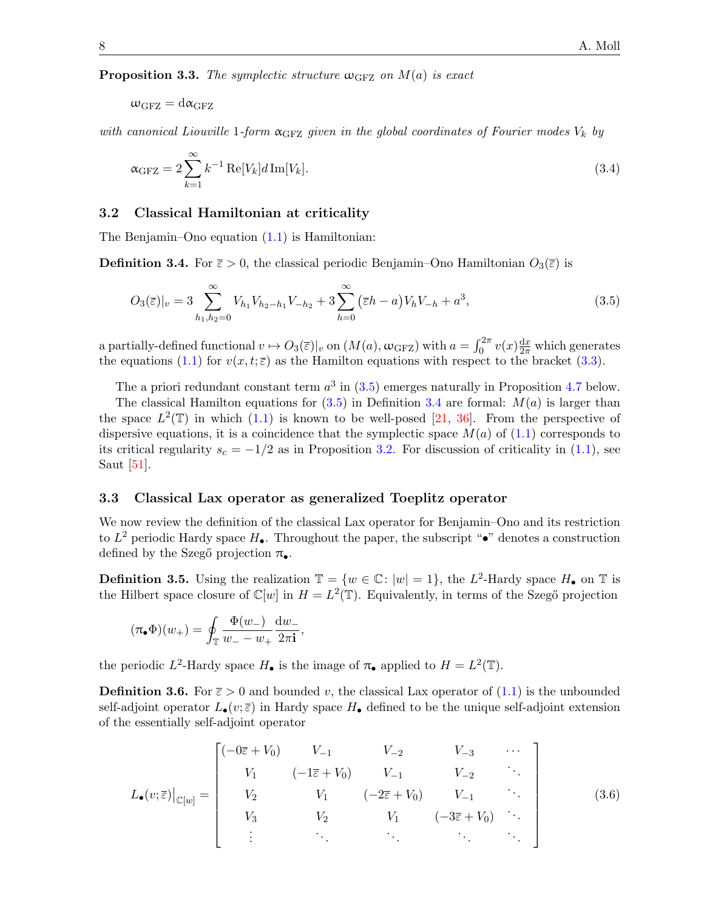<span id="page-7-5"></span>**Proposition 3.3.** The symplectic structure  $\omega$ <sub>GFZ</sub> on  $M(a)$  is exact

 $\omega_{\text{GFZ}} = \text{d}\alpha_{\text{GFZ}}$ 

with canonical Liouville 1-form  $\alpha_{\text{GFZ}}$  given in the global coordinates of Fourier modes  $V_k$  by

<span id="page-7-0"></span>
$$
\alpha_{\rm GFZ} = 2 \sum_{k=1}^{\infty} k^{-1} \operatorname{Re}[V_k] d \operatorname{Im}[V_k]. \tag{3.4}
$$

#### 3.2 Classical Hamiltonian at criticality

The Benjamin–Ono equation [\(1.1\)](#page-1-0) is Hamiltonian:

<span id="page-7-2"></span>**Definition 3.4.** For  $\bar{\varepsilon} > 0$ , the classical periodic Benjamin–Ono Hamiltonian  $O_3(\bar{\varepsilon})$  is

<span id="page-7-1"></span>
$$
O_3(\bar{\varepsilon})|_v = 3 \sum_{h_1, h_2=0}^{\infty} V_{h_1} V_{h_2 - h_1} V_{-h_2} + 3 \sum_{h=0}^{\infty} (\bar{\varepsilon}h - a) V_h V_{-h} + a^3,
$$
\n(3.5)

a partially-defined functional  $v \mapsto O_3(\bar{z})|_v$  on  $(M(a), \omega_{\text{GFZ}})$  with  $a = \int_0^{2\pi} v(x) \frac{dx}{2\pi}$  which generates the equations [\(1.1\)](#page-1-0) for  $v(x, t; \overline{\varepsilon})$  as the Hamilton equations with respect to the bracket [\(3.3\)](#page-6-3).

The a priori redundant constant term  $a^3$  in [\(3.5\)](#page-7-1) emerges naturally in Proposition [4.7](#page-10-0) below.

The classical Hamilton equations for  $(3.5)$  in Definition [3.4](#page-7-2) are formal:  $M(a)$  is larger than the space  $L^2(\mathbb{T})$  in which [\(1.1\)](#page-1-0) is known to be well-posed [\[21,](#page-25-4) [36\]](#page-26-4). From the perspective of dispersive equations, it is a coincidence that the symplectic space  $M(a)$  of [\(1.1\)](#page-1-0) corresponds to its critical regularity  $s_c = -1/2$  as in Proposition [3.2.](#page-6-4) For discussion of criticality in [\(1.1\)](#page-1-0), see Saut [\[51\]](#page-26-1).

### <span id="page-7-4"></span>3.3 Classical Lax operator as generalized Toeplitz operator

We now review the definition of the classical Lax operator for Benjamin–Ono and its restriction to  $L^2$  periodic Hardy space  $H_{\bullet}$ . Throughout the paper, the subscript " $\bullet$ " denotes a construction defined by the Szegő projection  $\pi_{\bullet}$ .

<span id="page-7-6"></span>**Definition 3.5.** Using the realization  $\mathbb{T} = \{w \in \mathbb{C} : |w| = 1\}$ , the L<sup>2</sup>-Hardy space  $H_{\bullet}$  on  $\mathbb{T}$  is the Hilbert space closure of  $\mathbb{C}[w]$  in  $H = L^2(\mathbb{T})$ . Equivalently, in terms of the Szegő projection

$$
(\pi_{\bullet}\Phi)(w_{+})=\oint_{\mathbb{T}}\frac{\Phi(w_{-})}{w_{-}-w_{+}}\frac{\mathrm{d}w_{-}}{2\pi\mathbf{i}},
$$

the periodic  $L^2$ -Hardy space  $H_{\bullet}$  is the image of  $\pi_{\bullet}$  applied to  $H = L^2(\mathbb{T})$ .

**Definition 3.6.** For  $\bar{\varepsilon} > 0$  and bounded v, the classical Lax operator of [\(1.1\)](#page-1-0) is the unbounded self-adjoint operator  $L_{\bullet}(v;\bar{\varepsilon})$  in Hardy space  $H_{\bullet}$  defined to be the unique self-adjoint extension of the essentially self-adjoint operator

<span id="page-7-3"></span>
$$
L_{\bullet}(v;\bar{\varepsilon})|_{\mathbb{C}[w]} = \begin{bmatrix} (-0\bar{\varepsilon} + V_0) & V_{-1} & V_{-2} & V_{-3} & \cdots \\ V_1 & (-1\bar{\varepsilon} + V_0) & V_{-1} & V_{-2} & \cdots \\ V_2 & V_1 & (-2\bar{\varepsilon} + V_0) & V_{-1} & \cdots \\ V_3 & V_2 & V_1 & (-3\bar{\varepsilon} + V_0) & \cdots \\ \vdots & \vdots & \ddots & \ddots & \ddots \end{bmatrix}
$$
(3.6)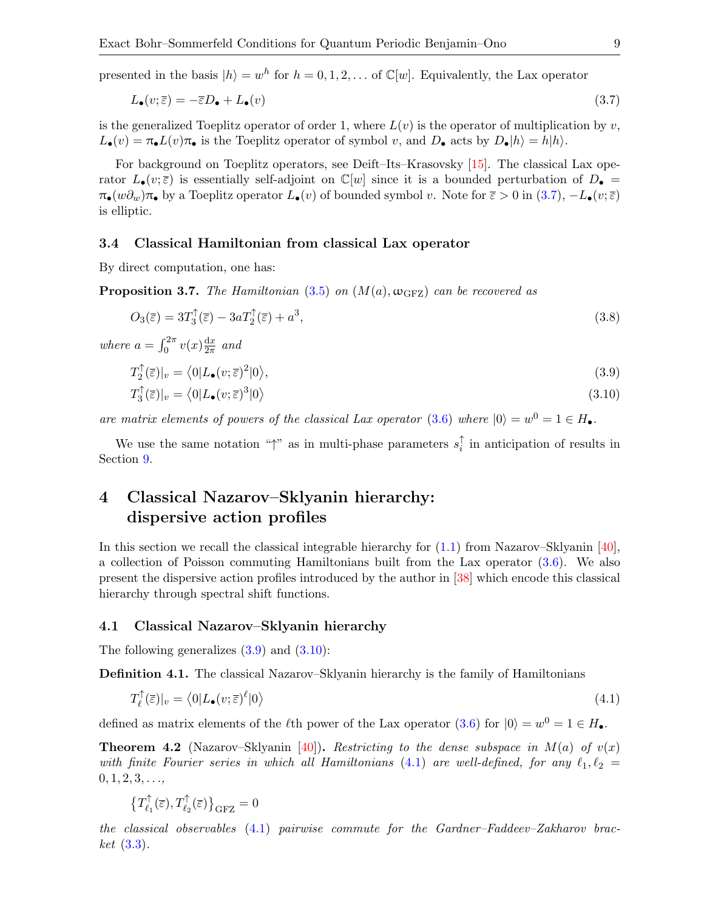presented in the basis  $|h\rangle = w^h$  for  $h = 0, 1, 2, ...$  of  $\mathbb{C}[w]$ . Equivalently, the Lax operator

<span id="page-8-1"></span>
$$
L_{\bullet}(v; \overline{\varepsilon}) = -\overline{\varepsilon}D_{\bullet} + L_{\bullet}(v) \tag{3.7}
$$

is the generalized Toeplitz operator of order 1, where  $L(v)$  is the operator of multiplication by v,  $L_{\bullet}(v) = \pi_{\bullet} L(v) \pi_{\bullet}$  is the Toeplitz operator of symbol v, and  $D_{\bullet}$  acts by  $D_{\bullet} |h\rangle = h|h\rangle$ .

For background on Toeplitz operators, see Deift–Its–Krasovsky [\[15\]](#page-25-19). The classical Lax operator  $L_{\bullet}(v;\bar{\varepsilon})$  is essentially self-adjoint on  $\mathbb{C}[w]$  since it is a bounded perturbation of  $D_{\bullet}$  =  $\pi_{\bullet}(w\partial_{w})\pi_{\bullet}$  by a Toeplitz operator  $L_{\bullet}(v)$  of bounded symbol v. Note for  $\overline{\varepsilon} > 0$  in  $(3.7), -L_{\bullet}(v;\overline{\varepsilon})$ is elliptic.

#### <span id="page-8-8"></span>3.4 Classical Hamiltonian from classical Lax operator

By direct computation, one has:

**Proposition 3.7.** The Hamiltonian [\(3.5\)](#page-7-1) on  $(M(a), \omega_{\text{GFZ}})$  can be recovered as

<span id="page-8-6"></span>
$$
O_3(\overline{\varepsilon}) = 3T_3^{\uparrow}(\overline{\varepsilon}) - 3aT_2^{\uparrow}(\overline{\varepsilon}) + a^3,\tag{3.8}
$$

where  $a = \int_0^{2\pi} v(x) \frac{dx}{2\pi}$  $rac{\mathrm{d}x}{2\pi}$  and

<span id="page-8-2"></span>
$$
T_2^{\uparrow}(\overline{\varepsilon})|_v = \langle 0|L_{\bullet}(v;\overline{\varepsilon})^2|0\rangle, \tag{3.9}
$$

<span id="page-8-3"></span>
$$
T_3^{\uparrow}(\overline{\varepsilon})|_v = \langle 0|L_{\bullet}(v;\overline{\varepsilon})^3|0\rangle \tag{3.10}
$$

are matrix elements of powers of the classical Lax operator [\(3.6\)](#page-7-3) where  $|0\rangle = w^0 = 1 \in H_{\bullet}$ .

We use the same notation " $\uparrow$ " as in multi-phase parameters  $s_i^{\uparrow}$  $i$  in anticipation of results in Section [9.](#page-19-0)

## <span id="page-8-0"></span>4 Classical Nazarov–Sklyanin hierarchy: dispersive action profiles

In this section we recall the classical integrable hierarchy for  $(1.1)$  from Nazarov–Sklyanin [\[40\]](#page-26-6), a collection of Poisson commuting Hamiltonians built from the Lax operator [\(3.6\)](#page-7-3). We also present the dispersive action profiles introduced by the author in [\[38\]](#page-26-11) which encode this classical hierarchy through spectral shift functions.

#### <span id="page-8-7"></span>4.1 Classical Nazarov–Sklyanin hierarchy

The following generalizes  $(3.9)$  and  $(3.10)$ :

Definition 4.1. The classical Nazarov–Sklyanin hierarchy is the family of Hamiltonians

<span id="page-8-4"></span>
$$
T_{\ell}^{\uparrow}(\overline{\varepsilon})|_{v} = \langle 0|L_{\bullet}(v;\overline{\varepsilon})^{\ell}|0\rangle \tag{4.1}
$$

defined as matrix elements of the  $\ell$ th power of the Lax operator  $(3.6)$  for  $|0\rangle = w^0 = 1 \in H_{\bullet}$ .

<span id="page-8-5"></span>**Theorem 4.2** (Nazarov–Sklyanin [\[40\]](#page-26-6)). Restricting to the dense subspace in  $M(a)$  of  $v(x)$ with finite Fourier series in which all Hamiltonians [\(4.1\)](#page-8-4) are well-defined, for any  $\ell_1, \ell_2 =$  $0, 1, 2, 3, \ldots$ 

$$
\big\{T_{\ell_1}^{\uparrow}(\overline{\varepsilon}),T_{\ell_2}^{\uparrow}(\overline{\varepsilon})\big\}_{\rm GFZ}=0
$$

the classical observables [\(4.1\)](#page-8-4) pairwise commute for the Gardner–Faddeev–Zakharov brac- $ket (3.3).$  $ket (3.3).$  $ket (3.3).$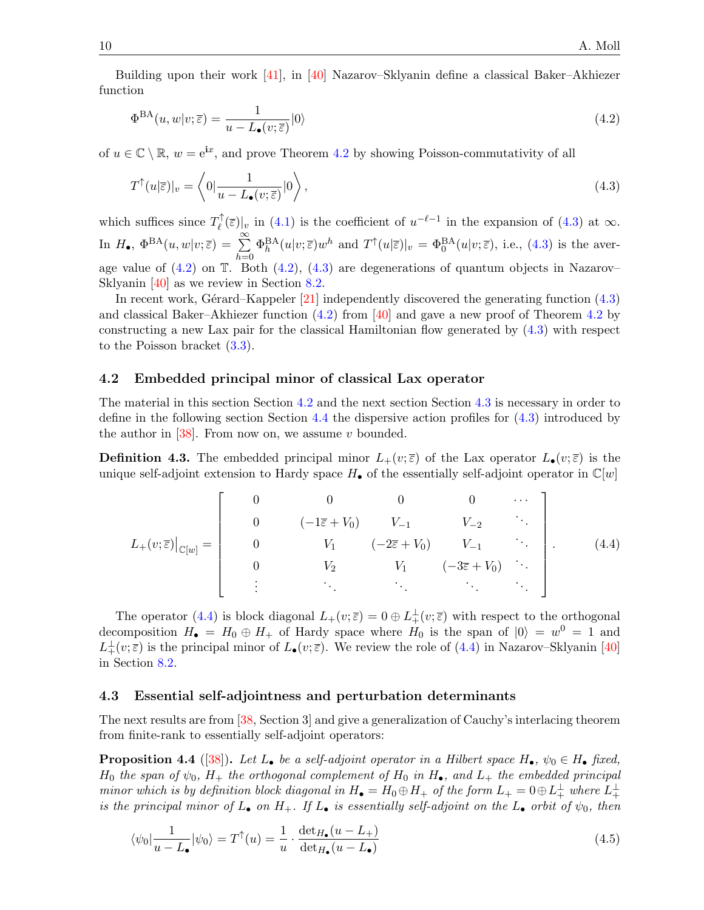Building upon their work [\[41\]](#page-26-17), in [\[40\]](#page-26-6) Nazarov–Sklyanin define a classical Baker–Akhiezer function

<span id="page-9-1"></span>
$$
\Phi^{\text{BA}}(u, w|v; \bar{\varepsilon}) = \frac{1}{u - L_{\bullet}(v; \bar{\varepsilon})} |0\rangle \tag{4.2}
$$

of  $u \in \mathbb{C} \setminus \mathbb{R}$ ,  $w = e^{ix}$ , and prove Theorem [4.2](#page-8-5) by showing Poisson-commutativity of all

<span id="page-9-0"></span>
$$
T^{\uparrow}(u|\overline{\varepsilon})|_{v} = \left\langle 0 | \frac{1}{u - L_{\bullet}(v;\overline{\varepsilon})} | 0 \right\rangle, \tag{4.3}
$$

which suffices since  $T_{\ell}^{\uparrow}$  $\int_{\ell}^{\uparrow}(\bar{\varepsilon})|_{v}$  in [\(4.1\)](#page-8-4) is the coefficient of  $u^{-\ell-1}$  in the expansion of [\(4.3\)](#page-9-0) at  $\infty$ . In  $H_{\bullet}$ ,  $\Phi^{\text{BA}}(u, w|v; \overline{\varepsilon}) = \sum_{n=0}^{\infty}$  $h=0$  $\Phi_h^{\text{BA}}(u|v;\bar{\varepsilon})w^h$  and  $T^{\uparrow}(u|\bar{\varepsilon})|_v = \Phi_0^{\text{BA}}(u|v;\bar{\varepsilon})$ , i.e., [\(4.3\)](#page-9-0) is the average value of  $(4.2)$  on T. Both  $(4.2)$ ,  $(4.3)$  are degenerations of quantum objects in Nazarov– Sklyanin [\[40\]](#page-26-6) as we review in Section [8.2.](#page-17-0)

In recent work, Gérard–Kappeler  $[21]$  independently discovered the generating function  $(4.3)$ and classical Baker–Akhiezer function [\(4.2\)](#page-9-1) from [\[40\]](#page-26-6) and gave a new proof of Theorem [4.2](#page-8-5) by constructing a new Lax pair for the classical Hamiltonian flow generated by [\(4.3\)](#page-9-0) with respect to the Poisson bracket [\(3.3\)](#page-6-3).

#### <span id="page-9-2"></span>4.2 Embedded principal minor of classical Lax operator

The material in this section Section [4.2](#page-9-2) and the next section Section [4.3](#page-9-3) is necessary in order to define in the following section Section [4.4](#page-10-1) the dispersive action profiles for [\(4.3\)](#page-9-0) introduced by the author in  $[38]$ . From now on, we assume v bounded.

**Definition 4.3.** The embedded principal minor  $L_{+}(v;\bar{\varepsilon})$  of the Lax operator  $L_{\bullet}(v;\bar{\varepsilon})$  is the unique self-adjoint extension to Hardy space  $H_{\bullet}$  of the essentially self-adjoint operator in  $\mathbb{C}[w]$ 

<span id="page-9-4"></span>
$$
L_{+}(v;\bar{\varepsilon})|_{\mathbb{C}[w]} = \begin{bmatrix} 0 & 0 & 0 & 0 & \cdots \\ 0 & (-1\bar{\varepsilon} + V_0) & V_{-1} & V_{-2} & \cdots \\ 0 & V_1 & (-2\bar{\varepsilon} + V_0) & V_{-1} & \cdots \\ 0 & V_2 & V_1 & (-3\bar{\varepsilon} + V_0) & \cdots \\ \vdots & \vdots & \ddots & \vdots & \ddots \end{bmatrix} .
$$
 (4.4)

The operator [\(4.4\)](#page-9-4) is block diagonal  $L_+(v;\bar{\varepsilon})=0\oplus L_+^{\perp}(v;\bar{\varepsilon})$  with respect to the orthogonal decomposition  $H_{\bullet} = H_0 \oplus H_+$  of Hardy space where  $H_0$  is the span of  $|0\rangle = w^0 = 1$  and  $L^{\perp}_{+}(v;\overline{\varepsilon})$  is the principal minor of  $L_{\bullet}(v;\overline{\varepsilon})$ . We review the role of [\(4.4\)](#page-9-4) in Nazarov–Sklyanin [\[40\]](#page-26-6) in Section [8.2.](#page-17-0)

#### <span id="page-9-3"></span>4.3 Essential self-adjointness and perturbation determinants

The next results are from [\[38,](#page-26-11) Section 3] and give a generalization of Cauchy's interlacing theorem from finite-rank to essentially self-adjoint operators:

<span id="page-9-5"></span>**Proposition 4.4** ([\[38\]](#page-26-11)). Let  $L_{\bullet}$  be a self-adjoint operator in a Hilbert space  $H_{\bullet}$ ,  $\psi_0 \in H_{\bullet}$  fixed,  $H_0$  the span of  $\psi_0$ ,  $H_+$  the orthogonal complement of  $H_0$  in  $H_{\bullet}$ , and  $L_+$  the embedded principal minor which is by definition block diagonal in  $H_{\bullet} = H_0 \oplus H_+$  of the form  $L_+ = 0 \oplus L_+^{\perp}$  where  $L_+^{\perp}$ is the principal minor of  $L_{\bullet}$  on  $H_{+}$ . If  $L_{\bullet}$  is essentially self-adjoint on the  $L_{\bullet}$  orbit of  $\psi_{0}$ , then

<span id="page-9-6"></span>
$$
\langle \psi_0 | \frac{1}{u - L_{\bullet}} | \psi_0 \rangle = T^{\uparrow}(u) = \frac{1}{u} \cdot \frac{\det_{H_{\bullet}} (u - L_{+})}{\det_{H_{\bullet}} (u - L_{\bullet})}
$$
(4.5)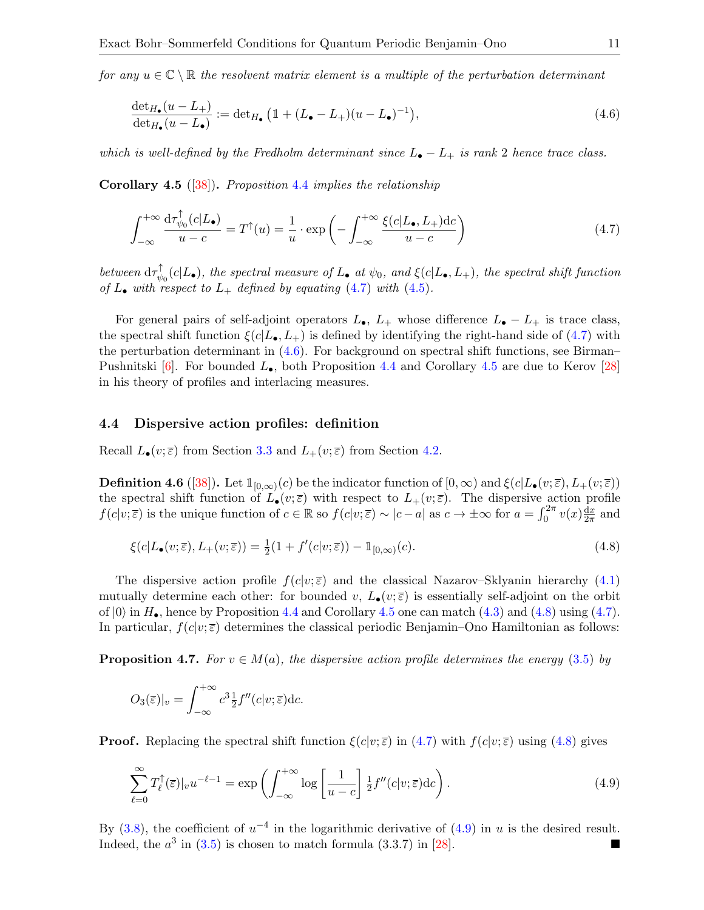for any  $u \in \mathbb{C} \setminus \mathbb{R}$  the resolvent matrix element is a multiple of the perturbation determinant

<span id="page-10-3"></span>
$$
\frac{\det_{H_{\bullet}}(u - L_{+})}{\det_{H_{\bullet}}(u - L_{\bullet})} := \det_{H_{\bullet}} \left( \mathbb{1} + (L_{\bullet} - L_{+})(u - L_{\bullet})^{-1} \right),\tag{4.6}
$$

which is well-defined by the Fredholm determinant since  $L_{\bullet}-L_{+}$  is rank 2 hence trace class.

<span id="page-10-4"></span>**Corollary 4.5** ([\[38\]](#page-26-11)). Proposition [4.4](#page-9-5) implies the relationship

<span id="page-10-2"></span>
$$
\int_{-\infty}^{+\infty} \frac{\mathrm{d}\tau_{\psi_0}^{\uparrow}(c|L_{\bullet})}{u-c} = T^{\uparrow}(u) = \frac{1}{u} \cdot \exp\left(-\int_{-\infty}^{+\infty} \frac{\xi(c|L_{\bullet}, L_{+})\mathrm{d}c}{u-c}\right)
$$
(4.7)

between  $d\tau_{ab}^{\uparrow}$  $\psi_{\psi_0}(c|L_{\bullet}),$  the spectral measure of  $L_{\bullet}$  at  $\psi_0$ , and  $\xi(c|L_{\bullet}, L_{+}),$  the spectral shift function of  $L_{\bullet}$  with respect to  $L_{+}$  defined by equating [\(4.7\)](#page-10-2) with [\(4.5\)](#page-9-6).

For general pairs of self-adjoint operators  $L_{\bullet}$ ,  $L_{+}$  whose difference  $L_{\bullet}-L_{+}$  is trace class, the spectral shift function  $\xi(c|L_{\bullet}, L_{+})$  is defined by identifying the right-hand side of [\(4.7\)](#page-10-2) with the perturbation determinant in  $(4.6)$ . For background on spectral shift functions, see Birman– Pushnitski  $[6]$ . For bounded  $L_{\bullet}$ , both Proposition [4.4](#page-9-5) and Corollary [4.5](#page-10-4) are due to Kerov [\[28\]](#page-25-20) in his theory of profiles and interlacing measures.

#### <span id="page-10-1"></span>4.4 Dispersive action profiles: definition

Recall  $L_{\bullet}(v;\bar{\varepsilon})$  from Section [3.3](#page-7-4) and  $L_{+}(v;\bar{\varepsilon})$  from Section [4.2.](#page-9-2)

<span id="page-10-7"></span>**Definition 4.6** ([\[38\]](#page-26-11)). Let  $\mathbb{1}_{[0,\infty)}(c)$  be the indicator function of  $[0,\infty)$  and  $\xi(c|L_{\bullet}(v;\overline{\varepsilon}), L_{+}(v;\overline{\varepsilon}))$ the spectral shift function of  $L_{\bullet}(v;\bar{\varepsilon})$  with respect to  $L_{+}(v;\bar{\varepsilon})$ . The dispersive action profile  $f(c|v;\overline{\varepsilon})$  is the unique function of  $c \in \mathbb{R}$  so  $f(c|v;\overline{\varepsilon}) \sim |c-a|$  as  $c \to \pm \infty$  for  $a = \int_0^{2\pi} v(x) \frac{dx}{2\pi}$  $\frac{\mathrm{d}x}{2\pi}$  and

<span id="page-10-5"></span>
$$
\xi(c|L_{\bullet}(v;\overline{\varepsilon}),L_{+}(v;\overline{\varepsilon})) = \frac{1}{2}(1+f'(c|v;\overline{\varepsilon})) - \mathbb{1}_{[0,\infty)}(c). \tag{4.8}
$$

The dispersive action profile  $f(c|v;\overline{\varepsilon})$  and the classical Nazarov–Sklyanin hierarchy [\(4.1\)](#page-8-4) mutually determine each other: for bounded v,  $L_{\bullet}(v;\bar{\varepsilon})$  is essentially self-adjoint on the orbit of  $|0\rangle$  in  $H_{\bullet}$ , hence by Proposition [4.4](#page-9-5) and Corollary [4.5](#page-10-4) one can match [\(4.3\)](#page-9-0) and [\(4.8\)](#page-10-5) using [\(4.7\)](#page-10-2). In particular,  $f(c|v;\overline{\varepsilon})$  determines the classical periodic Benjamin–Ono Hamiltonian as follows:

<span id="page-10-0"></span>**Proposition 4.7.** For  $v \in M(a)$ , the dispersive action profile determines the energy [\(3.5\)](#page-7-1) by

$$
O_3(\overline{\varepsilon})|_v = \int_{-\infty}^{+\infty} c^3 \frac{1}{2} f''(c|v; \overline{\varepsilon}) \mathrm{d}c.
$$

**Proof.** Replacing the spectral shift function  $\xi(c|v;\overline{\varepsilon})$  in [\(4.7\)](#page-10-2) with  $f(c|v;\overline{\varepsilon})$  using [\(4.8\)](#page-10-5) gives

<span id="page-10-6"></span>
$$
\sum_{\ell=0}^{\infty} T_{\ell}^{\uparrow}(\overline{\varepsilon})|_{v} u^{-\ell-1} = \exp\left(\int_{-\infty}^{+\infty} \log\left[\frac{1}{u-c}\right] \frac{1}{2} f''(c|v;\overline{\varepsilon}) \mathrm{d}c\right). \tag{4.9}
$$

By [\(3.8\)](#page-8-6), the coefficient of  $u^{-4}$  in the logarithmic derivative of [\(4.9\)](#page-10-6) in u is the desired result. Indeed, the  $a^3$  in [\(3.5\)](#page-7-1) is chosen to match formula (3.3.7) in [\[28\]](#page-25-20).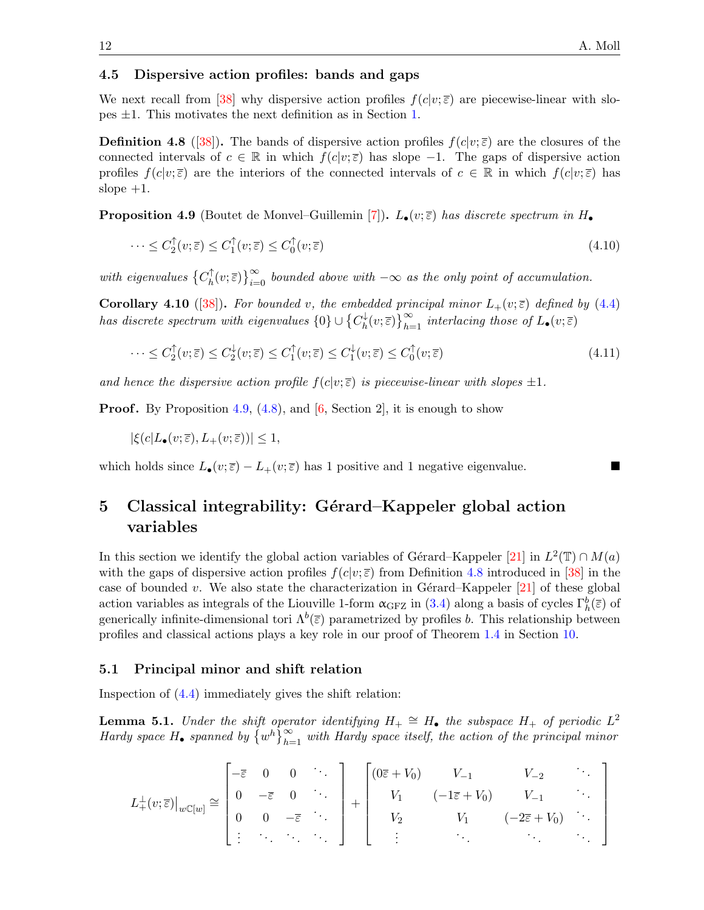#### 4.5 Dispersive action profiles: bands and gaps

We next recall from [\[38\]](#page-26-11) why dispersive action profiles  $f(c|v;\overline{\varepsilon})$  are piecewise-linear with slopes ±1. This motivates the next definition as in Section [1.](#page-0-0)

<span id="page-11-2"></span>**Definition 4.8** ([\[38\]](#page-26-11)). The bands of dispersive action profiles  $f(c|v;\overline{\varepsilon})$  are the closures of the connected intervals of  $c \in \mathbb{R}$  in which  $f(c|v;\overline{\varepsilon})$  has slope -1. The gaps of dispersive action profiles  $f(c|v;\overline{\varepsilon})$  are the interiors of the connected intervals of  $c \in \mathbb{R}$  in which  $f(c|v;\overline{\varepsilon})$  has slope  $+1$ .

<span id="page-11-1"></span>**Proposition 4.9** (Boutet de Monvel–Guillemin [\[7\]](#page-25-21)).  $L_{\bullet}(v;\bar{\varepsilon})$  has discrete spectrum in  $H_{\bullet}$ 

<span id="page-11-6"></span>
$$
\cdots \leq C_2^{\uparrow}(v;\overline{\varepsilon}) \leq C_1^{\uparrow}(v;\overline{\varepsilon}) \leq C_0^{\uparrow}(v;\overline{\varepsilon}) \tag{4.10}
$$

with eigenvalues  $\{C_h^{\uparrow}$  $\int_h^{\uparrow}(v;\overline{\varepsilon})\big\}_{i=0}^{\infty}$  bounded above with  $-\infty$  as the only point of accumulation.

<span id="page-11-5"></span>**Corollary 4.10** ([\[38\]](#page-26-11)). For bounded v, the embedded principal minor  $L_+(v;\bar{\varepsilon})$  defined by [\(4.4\)](#page-9-4) has discrete spectrum with eigenvalues  $\{0\} \cup \{C_{b}^{\downarrow}$  $\psi_h^{\downarrow}(v;\overline{\varepsilon})\big\}_{h=1}^{\infty}$  interlacing those of  $L_{\bullet}(v;\overline{\varepsilon})$ 

<span id="page-11-4"></span>
$$
\cdots \leq C_2^{\uparrow}(v;\overline{\varepsilon}) \leq C_2^{\downarrow}(v;\overline{\varepsilon}) \leq C_1^{\uparrow}(v;\overline{\varepsilon}) \leq C_1^{\downarrow}(v;\overline{\varepsilon}) \leq C_0^{\uparrow}(v;\overline{\varepsilon}) \tag{4.11}
$$

and hence the dispersive action profile  $f(c|v;\overline{\epsilon})$  is piecewise-linear with slopes  $\pm 1$ .

**Proof.** By Proposition [4.9,](#page-11-1) [\(4.8\)](#page-10-5), and [\[6,](#page-24-5) Section 2], it is enough to show

 $|\xi(c|L_{\bullet}(v;\overline{\varepsilon}), L_{+}(v;\overline{\varepsilon}))| \leq 1,$ 

which holds since  $L_{\bullet}(v;\bar{\varepsilon}) - L_{+}(v;\bar{\varepsilon})$  has 1 positive and 1 negative eigenvalue.

## <span id="page-11-0"></span>5 Classical integrability: Gérard–Kappeler global action variables

In this section we identify the global action variables of Gérard–Kappeler [\[21\]](#page-25-4) in  $L^2(\mathbb{T}) \cap M(a)$ with the gaps of dispersive action profiles  $f(c|v;\overline{\varepsilon})$  from Definition [4.8](#page-11-2) introduced in [\[38\]](#page-26-11) in the case of bounded v. We also state the characterization in Gérard–Kappeler  $[21]$  of these global action variables as integrals of the Liouville 1-form  $\alpha_{\text{GFZ}}$  in [\(3.4\)](#page-7-0) along a basis of cycles  $\Gamma_h^b(\bar{z})$  of generically infinite-dimensional tori  $\Lambda^b(\bar{z})$  parametrized by profiles b. This relationship between profiles and classical actions plays a key role in our proof of Theorem [1.4](#page-3-0) in Section [10.](#page-20-0)

#### 5.1 Principal minor and shift relation

Inspection of [\(4.4\)](#page-9-4) immediately gives the shift relation:

<span id="page-11-3"></span>**Lemma 5.1.** Under the shift operator identifying  $H_+ \cong H_+$  the subspace  $H_+$  of periodic  $L^2$ Hardy space H<sub>•</sub> spanned by  $\{w^h\}_{h=1}^{\infty}$  with Hardy space itself, the action of the principal minor

$$
L^{\perp}_{+}(v;\overline{\varepsilon})|_{w\mathbb{C}[w]} \cong \begin{bmatrix} -\overline{\varepsilon} & 0 & 0 & \cdots \\ 0 & -\overline{\varepsilon} & 0 & \cdots \\ 0 & 0 & -\overline{\varepsilon} & \cdots \\ \vdots & \ddots & \ddots & \ddots \end{bmatrix} + \begin{bmatrix} (0\overline{\varepsilon} + V_0) & V_{-1} & V_{-2} & \cdots \\ V_1 & (-1\overline{\varepsilon} + V_0) & V_{-1} & \cdots \\ V_2 & V_1 & (-2\overline{\varepsilon} + V_0) & \cdots \\ \vdots & \ddots & \ddots & \ddots \end{bmatrix}
$$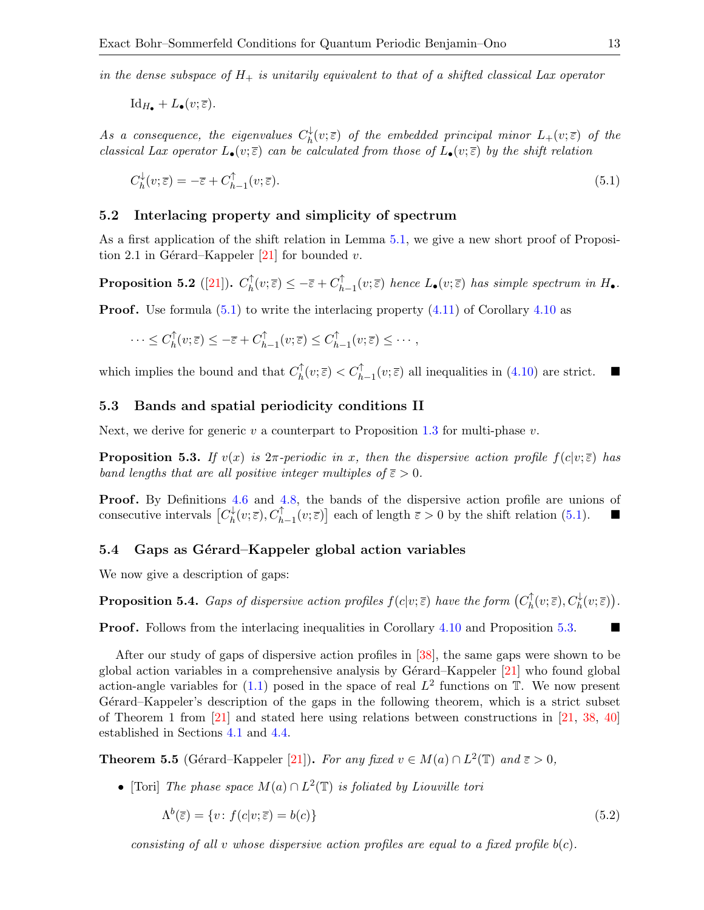in the dense subspace of  $H_+$  is unitarily equivalent to that of a shifted classical Lax operator

$$
\mathrm{Id}_{H_{\bullet}}+L_{\bullet}(v;\overline{\varepsilon}).
$$

As a consequence, the eigenvalues  $C_b^{\downarrow}$  $h^\downarrow_h(v;\overline{\varepsilon})$  of the embedded principal minor  $L_+(v;\overline{\varepsilon})$  of the classical Lax operator  $L_{\bullet}(v;\bar{\varepsilon})$  can be calculated from those of  $L_{\bullet}(v;\bar{\varepsilon})$  by the shift relation

<span id="page-12-0"></span>
$$
C_h^{\downarrow}(v; \overline{\varepsilon}) = -\overline{\varepsilon} + C_{h-1}^{\uparrow}(v; \overline{\varepsilon}).\tag{5.1}
$$

#### 5.2 Interlacing property and simplicity of spectrum

As a first application of the shift relation in Lemma [5.1,](#page-11-3) we give a new short proof of Proposi-tion 2.1 in Gérard–Kappeler [\[21\]](#page-25-4) for bounded v.

Proposition 5.2 ([\[21\]](#page-25-4)).  $C_h^{\uparrow}$  $\mathcal{L}_h^{\uparrow}(v;\overline{\varepsilon}) \leq -\overline{\varepsilon} + C_h^{\uparrow}$  $_{h-1}^{T}(v;\overline{\varepsilon})$  hence  $L_{\bullet}(v;\overline{\varepsilon})$  has simple spectrum in  $H_{\bullet}$ .

**Proof.** Use formula  $(5.1)$  to write the interlacing property  $(4.11)$  of Corollary  $4.10$  as

$$
\cdots \leq C_h^{\uparrow}(v;\overline{\varepsilon}) \leq -\overline{\varepsilon} + C_{h-1}^{\uparrow}(v;\overline{\varepsilon}) \leq C_{h-1}^{\uparrow}(v;\overline{\varepsilon}) \leq \cdots,
$$

which implies the bound and that  $C_h^{\uparrow}$  $\bigcap_{h}^{\uparrow}(v;\overline{\varepsilon}) < C_{h-1}^{\uparrow}(v;\overline{\varepsilon})$  all inequalities in  $(4.10)$  are strict.

#### 5.3 Bands and spatial periodicity conditions II

Next, we derive for generic v a counterpart to Proposition [1.3](#page-2-3) for multi-phase v.

<span id="page-12-1"></span>**Proposition 5.3.** If  $v(x)$  is  $2\pi$ -periodic in x, then the dispersive action profile  $f(c|v;\overline{\epsilon})$  has band lengths that are all positive integer multiples of  $\overline{\varepsilon} > 0$ .

**Proof.** By Definitions [4.6](#page-10-7) and [4.8,](#page-11-2) the bands of the dispersive action profile are unions of consecutive intervals  $\lbrack C_{h}^{\downarrow}$  $h^{\downarrow}_h(v;\overline{\varepsilon}), C^{\uparrow}_{h-1}(v;\overline{\varepsilon})]$  each of length  $\overline{\varepsilon} > 0$  by the shift relation [\(5.1\)](#page-12-0).

#### <span id="page-12-4"></span>5.4 Gaps as Gérard–Kappeler global action variables

We now give a description of gaps:

<span id="page-12-3"></span>**Proposition 5.4.** Gaps of dispersive action profiles  $f(c|v;\overline{\varepsilon})$  have the form  $(C_h^{\uparrow})$  $C_h^{\dagger}(v;\overline{\varepsilon}), C_h^{\downarrow}(v;\overline{\varepsilon})\big).$ 

**Proof.** Follows from the interlacing inequalities in Corollary [4.10](#page-11-5) and Proposition [5.3.](#page-12-1)

After our study of gaps of dispersive action profiles in [\[38\]](#page-26-11), the same gaps were shown to be global action variables in a comprehensive analysis by Gérard–Kappeler  $[21]$  who found global action-angle variables for  $(1.1)$  posed in the space of real  $L^2$  functions on  $\mathbb{T}$ . We now present Gérard–Kappeler's description of the gaps in the following theorem, which is a strict subset of Theorem 1 from [\[21\]](#page-25-4) and stated here using relations between constructions in [\[21,](#page-25-4) [38,](#page-26-11) [40\]](#page-26-6) established in Sections [4.1](#page-8-7) and [4.4.](#page-10-1)

<span id="page-12-2"></span>**Theorem 5.5** (Gérard–Kappeler [\[21\]](#page-25-4)). For any fixed  $v \in M(a) \cap L^2(\mathbb{T})$  and  $\overline{\varepsilon} > 0$ ,

• [Tori] The phase space  $M(a) \cap L^2(\mathbb{T})$  is foliated by Liouville tori

<span id="page-12-5"></span>
$$
\Lambda^b(\overline{\varepsilon}) = \{ v : f(c|v; \overline{\varepsilon}) = b(c) \}
$$
\n(5.2)

consisting of all v whose dispersive action profiles are equal to a fixed profile  $b(c)$ .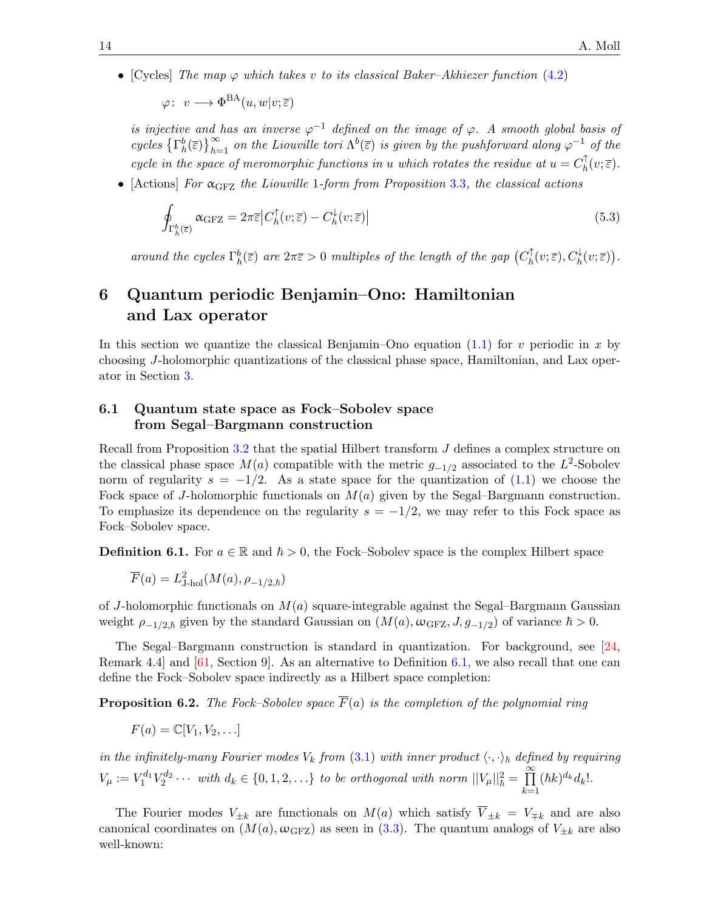• [Cycles] The map  $\varphi$  which takes v to its classical Baker–Akhiezer function [\(4.2\)](#page-9-1)

 $\varphi\colon\ v\longrightarrow \Phi^{\text{BA}}(u,w|v;\overline{\varepsilon})$ 

is injective and has an inverse  $\varphi^{-1}$  defined on the image of  $\varphi$ . A smooth global basis of cycles  $\{\Gamma_h^b(\bar{\varepsilon})\}_{h=1}^{\infty}$  on the Liouville tori  $\Lambda^b(\bar{\varepsilon})$  is given by the pushforward along  $\varphi^{-1}$  of the cycle in the space of meromorphic functions in u which rotates the residue at  $u = C_h^{\uparrow}$  $_h^{\mathbb{T}}(v;\overline{\varepsilon}).$ 

• [Actions] For  $\alpha_{\text{GFZ}}$  the Liouville 1-form from Proposition [3.3](#page-7-5), the classical actions

<span id="page-13-3"></span>
$$
\oint_{\Gamma_h^b(\overline{\varepsilon})} \alpha_{\text{GFZ}} = 2\pi \overline{\varepsilon} \left| C_h^{\uparrow}(v;\overline{\varepsilon}) - C_h^{\downarrow}(v;\overline{\varepsilon}) \right| \tag{5.3}
$$

around the cycles  $\Gamma_h^b(\overline{\varepsilon})$  are  $2\pi\overline{\varepsilon} > 0$  multiples of the length of the gap  $(C_h^{\uparrow})$  $C_h^{\dagger}(v;\overline{\varepsilon}), C_h^{\downarrow}(v;\overline{\varepsilon})\big).$ 

## <span id="page-13-0"></span>6 Quantum periodic Benjamin–Ono: Hamiltonian and Lax operator

In this section we quantize the classical Benjamin–Ono equation  $(1.1)$  for v periodic in x by choosing J-holomorphic quantizations of the classical phase space, Hamiltonian, and Lax operator in Section [3.](#page-6-0)

## <span id="page-13-2"></span>6.1 Quantum state space as Fock–Sobolev space from Segal–Bargmann construction

Recall from Proposition [3.2](#page-6-4) that the spatial Hilbert transform J defines a complex structure on the classical phase space  $M(a)$  compatible with the metric  $g_{-1/2}$  associated to the L<sup>2</sup>-Sobolev norm of regularity  $s = -1/2$ . As a state space for the quantization of [\(1.1\)](#page-1-0) we choose the Fock space of J-holomorphic functionals on  $M(a)$  given by the Segal–Bargmann construction. To emphasize its dependence on the regularity  $s = -1/2$ , we may refer to this Fock space as Fock–Sobolev space.

<span id="page-13-1"></span>**Definition 6.1.** For  $a \in \mathbb{R}$  and  $\hbar > 0$ , the Fock–Sobolev space is the complex Hilbert space

$$
\overline{F}(a) = L_{\text{J-hol}}^2(M(a), \rho_{-1/2,\hbar})
$$

of J-holomorphic functionals on  $M(a)$  square-integrable against the Segal–Bargmann Gaussian weight  $\rho_{-1/2,\hbar}$  given by the standard Gaussian on  $(M(a), \omega_{\text{GFZ}}, J, g_{-1/2})$  of variance  $\hbar > 0$ .

The Segal–Bargmann construction is standard in quantization. For background, see [\[24,](#page-25-22) Remark 4.4] and [\[61,](#page-26-23) Section 9]. As an alternative to Definition [6.1,](#page-13-1) we also recall that one can define the Fock–Sobolev space indirectly as a Hilbert space completion:

**Proposition 6.2.** The Fock–Sobolev space  $\overline{F}(a)$  is the completion of the polynomial ring

$$
F(a) = \mathbb{C}[V_1, V_2, \ldots]
$$

in the infinitely-many Fourier modes  $V_k$  from [\(3.1\)](#page-6-5) with inner product  $\langle \cdot, \cdot \rangle_h$  defined by requiring  $V_{\mu} := V_1^{d_1} V_2^{d_2} \cdots$  with  $d_k \in \{0, 1, 2, \ldots\}$  to be orthogonal with norm  $||V_{\mu}||^2_{\hbar} = \prod_{k=1}^{\infty}$  $_{k=1}$  $(\hbar k)^{d_k} d_k!$ .

The Fourier modes  $V_{\pm k}$  are functionals on  $M(a)$  which satisfy  $\overline{V}_{\pm k} = V_{\mp k}$  and are also canonical coordinates on  $(M(a), \omega_{\text{GFZ}})$  as seen in [\(3.3\)](#page-6-3). The quantum analogs of  $V_{\pm k}$  are also well-known: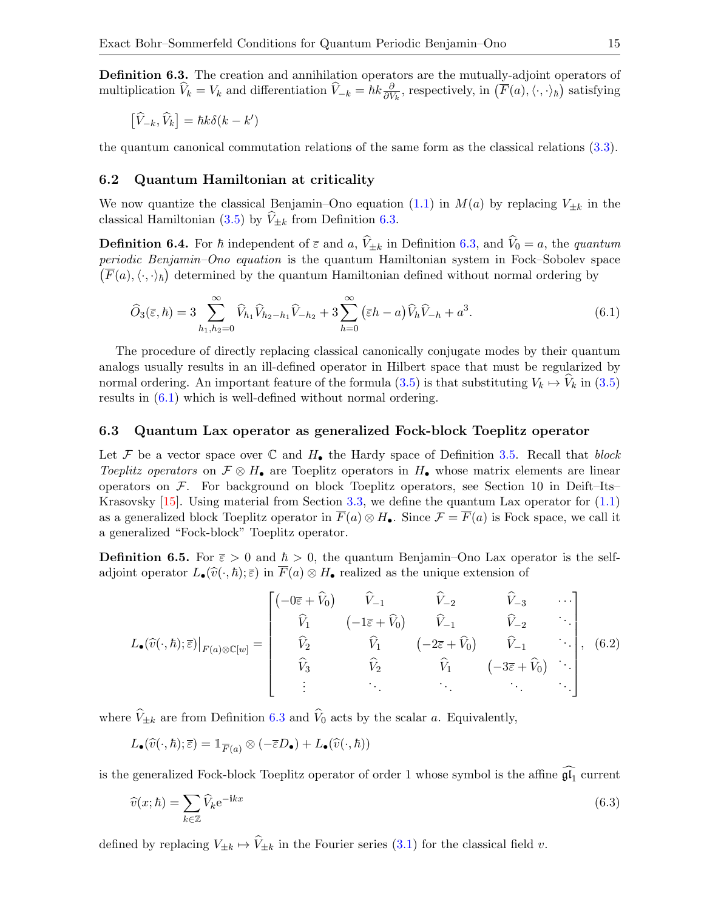<span id="page-14-0"></span>Definition 6.3. The creation and annihilation operators are the mutually-adjoint operators of multiplication  $\hat{V}_k = V_k$  and differentiation  $\hat{V}_k = \hbar k \frac{\partial}{\partial V_k}$  $\frac{\partial}{\partial V_k}$ , respectively, in  $(\overline{F}(a), \langle \cdot, \cdot \rangle_h)$  satisfying

$$
\left[\widehat{V}_{-k}, \widehat{V}_{k}\right] = \hbar k \delta(k - k')
$$

the quantum canonical commutation relations of the same form as the classical relations [\(3.3\)](#page-6-3).

#### 6.2 Quantum Hamiltonian at criticality

We now quantize the classical Benjamin–Ono equation [\(1.1\)](#page-1-0) in  $M(a)$  by replacing  $V_{\pm k}$  in the classical Hamiltonian [\(3.5\)](#page-7-1) by  $\hat{V}_{\pm k}$  from Definition [6.3.](#page-14-0)

**Definition 6.4.** For  $\hbar$  independent of  $\bar{\varepsilon}$  and  $a, \hat{V}_{\pm k}$  in Definition [6.3,](#page-14-0) and  $\hat{V}_0 = a$ , the quantum periodic Benjamin–Ono equation is the quantum Hamiltonian system in Fock–Sobolev space  $(\overline{F}(a), \langle \cdot, \cdot \rangle_{\hbar})$  determined by the quantum Hamiltonian defined without normal ordering by

<span id="page-14-1"></span>
$$
\widehat{O}_3(\overline{\varepsilon}, \hbar) = 3 \sum_{h_1, h_2 = 0}^{\infty} \widehat{V}_{h_1} \widehat{V}_{h_2 - h_1} \widehat{V}_{-h_2} + 3 \sum_{h=0}^{\infty} (\overline{\varepsilon}h - a) \widehat{V}_h \widehat{V}_{-h} + a^3.
$$
\n(6.1)

The procedure of directly replacing classical canonically conjugate modes by their quantum analogs usually results in an ill-defined operator in Hilbert space that must be regularized by normal ordering. An important feature of the formula  $(3.5)$  is that substituting  $V_k \mapsto V_k$  in  $(3.5)$ results in [\(6.1\)](#page-14-1) which is well-defined without normal ordering.

#### <span id="page-14-4"></span>6.3 Quantum Lax operator as generalized Fock-block Toeplitz operator

Let F be a vector space over  $\mathbb C$  and  $H_{\bullet}$  the Hardy space of Definition [3.5.](#page-7-6) Recall that block Toeplitz operators on  $\mathcal{F} \otimes H_{\bullet}$  are Toeplitz operators in  $H_{\bullet}$  whose matrix elements are linear operators on  $\mathcal F$ . For background on block Toeplitz operators, see Section 10 in Deift–Its– Krasovsky  $[15]$ . Using material from Section [3.3,](#page-7-4) we define the quantum Lax operator for  $(1.1)$ as a generalized block Toeplitz operator in  $\overline{F}(a) \otimes H_{\bullet}$ . Since  $\mathcal{F} = \overline{F}(a)$  is Fock space, we call it a generalized "Fock-block" Toeplitz operator.

<span id="page-14-5"></span>**Definition 6.5.** For  $\bar{\varepsilon} > 0$  and  $\hbar > 0$ , the quantum Benjamin–Ono Lax operator is the selfadjoint operator  $L_{\bullet}(\widehat{v}(\cdot, \hbar); \overline{\varepsilon})$  in  $\overline{F}(a) \otimes H_{\bullet}$  realized as the unique extension of

<span id="page-14-2"></span>
$$
L_{\bullet}(\widehat{v}(\cdot,\hbar);\overline{\varepsilon})|_{F(a)\otimes\mathbb{C}[w]} = \begin{bmatrix} (-0\overline{\varepsilon}+\widehat{V}_{0}) & \widehat{V}_{-1} & \widehat{V}_{-2} & \widehat{V}_{-3} & \cdots \\ \widehat{V}_{1} & (-1\overline{\varepsilon}+\widehat{V}_{0}) & \widehat{V}_{-1} & \widehat{V}_{-2} & \cdots \\ \widehat{V}_{2} & \widehat{V}_{1} & (-2\overline{\varepsilon}+\widehat{V}_{0}) & \widehat{V}_{-1} & \cdots \\ \widehat{V}_{3} & \widehat{V}_{2} & \widehat{V}_{1} & (-3\overline{\varepsilon}+\widehat{V}_{0}) & \cdots \\ \vdots & \ddots & \ddots & \ddots & \ddots \end{bmatrix}, (6.2)
$$

where  $\widehat{V}_{\pm k}$  are from Definition [6.3](#page-14-0) and  $\widehat{V}_0$  acts by the scalar a. Equivalently,

$$
L_\bullet(\widehat{v}(\cdot,\hbar); \overline{\varepsilon}) = \mathbbm{1}_{\overline{F}(a)} \otimes (-\overline{\varepsilon} D_\bullet) + L_\bullet(\widehat{v}(\cdot,\hbar))
$$

is the generalized Fock-block Toeplitz operator of order 1 whose symbol is the affine  $\mathfrak{gl}_1$  current

<span id="page-14-3"></span>
$$
\widehat{v}(x;\hbar) = \sum_{k \in \mathbb{Z}} \widehat{V}_k e^{-\mathbf{i}kx} \tag{6.3}
$$

defined by replacing  $V_{\pm k} \mapsto \hat{V}_{\pm k}$  in the Fourier series [\(3.1\)](#page-6-5) for the classical field v.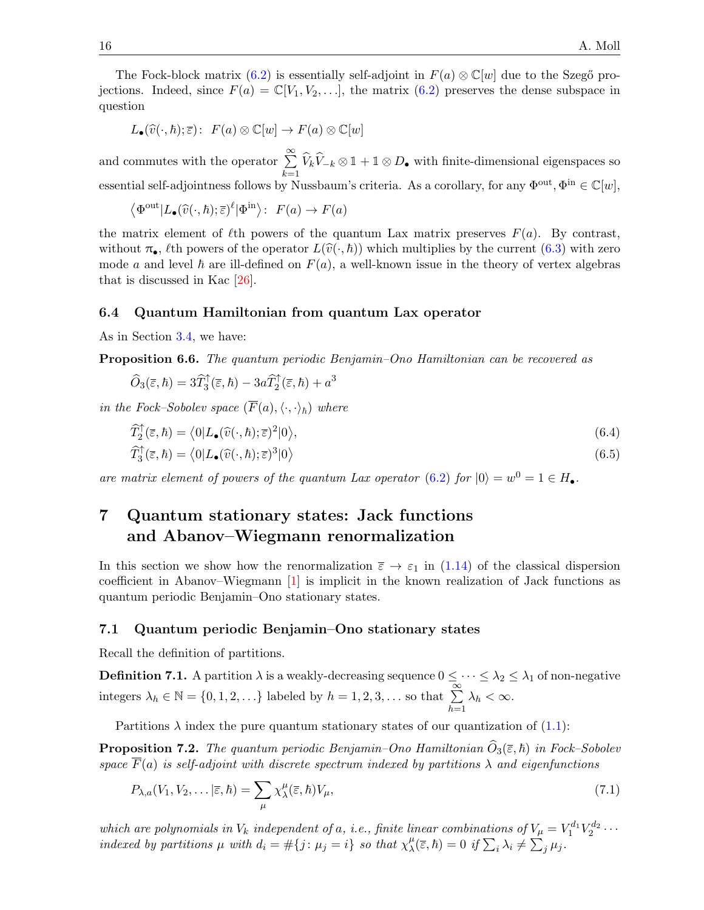The Fock-block matrix [\(6.2\)](#page-14-2) is essentially self-adjoint in  $F(a) \otimes \mathbb{C}[w]$  due to the Szegő projections. Indeed, since  $F(a) = \mathbb{C}[V_1, V_2, \ldots]$ , the matrix  $(6.2)$  preserves the dense subspace in question

$$
L_{\bullet}(\widehat{v}(\cdot,\hbar);\overline{\varepsilon})\colon\ F(a)\otimes\mathbb{C}[w]\to F(a)\otimes\mathbb{C}[w]
$$

and commutes with the operator  $\sum_{n=1}^{\infty}$  $\sum_{k=1}^{\infty} \widehat{V}_k \widehat{V}_{-k} \otimes \mathbb{1} + \mathbb{1} \otimes D_{\bullet}$  with finite-dimensional eigenspaces so essential self-adjointness follows by Nussbaum's criteria. As a corollary, for any  $\Phi^{out}$ ,  $\Phi^{in} \in \mathbb{C}[w]$ ,

$$
\langle \Phi^{\text{out}} | L_{\bullet}(\widehat{v}(\cdot,\hbar); \overline{\varepsilon})^{\ell} | \Phi^{\text{in}} \rangle \colon F(a) \to F(a)
$$

the matrix element of  $\ell$ th powers of the quantum Lax matrix preserves  $F(a)$ . By contrast, without  $\pi_{\bullet}$ ,  $\ell$ th powers of the operator  $L(\hat{v}(\cdot, \hbar))$  which multiplies by the current [\(6.3\)](#page-14-3) with zero mode a and level  $\hbar$  are ill-defined on  $F(a)$ , a well-known issue in the theory of vertex algebras that is discussed in Kac [\[26\]](#page-25-23).

#### 6.4 Quantum Hamiltonian from quantum Lax operator

As in Section [3.4,](#page-8-8) we have:

<span id="page-15-4"></span>Proposition 6.6. The quantum periodic Benjamin–Ono Hamiltonian can be recovered as

$$
\widehat{O}_3(\overline{\varepsilon}, \hbar) = 3\widehat{T}_3^{\uparrow}(\overline{\varepsilon}, \hbar) - 3a\widehat{T}_2^{\uparrow}(\overline{\varepsilon}, \hbar) + a^3
$$

in the Fock–Sobolev space  $(\overline{F}(a),\langle\cdot,\cdot\rangle_{\hbar})$  where

<span id="page-15-3"></span><span id="page-15-1"></span>
$$
\widehat{T}_{2}^{\dagger}(\overline{\varepsilon},\hbar) = \langle 0|L_{\bullet}(\widehat{v}(\cdot,\hbar);\overline{\varepsilon})^{2}|0\rangle, \n\widehat{T}_{3}^{\dagger}(\overline{\varepsilon},\hbar) = \langle 0|L_{\bullet}(\widehat{v}(\cdot,\hbar);\overline{\varepsilon})^{3}|0\rangle
$$
\n(6.5)

are matrix element of powers of the quantum Lax operator [\(6.2\)](#page-14-2) for  $|0\rangle = w^0 = 1 \in H_{\bullet}$ .

## <span id="page-15-0"></span>7 Quantum stationary states: Jack functions and Abanov–Wiegmann renormalization

In this section we show how the renormalization  $\bar{\varepsilon} \to \varepsilon_1$  in [\(1.14\)](#page-3-3) of the classical dispersion coefficient in Abanov–Wiegmann [\[1\]](#page-24-1) is implicit in the known realization of Jack functions as quantum periodic Benjamin–Ono stationary states.

#### 7.1 Quantum periodic Benjamin–Ono stationary states

Recall the definition of partitions.

**Definition 7.1.** A partition  $\lambda$  is a weakly-decreasing sequence  $0 \leq \cdots \leq \lambda_2 \leq \lambda_1$  of non-negative integers  $\lambda_h \in \mathbb{N} = \{0, 1, 2, \ldots\}$  labeled by  $h = 1, 2, 3, \ldots$  so that  $\sum_{k=1}^{\infty}$  $h=1$  $\lambda_h < \infty$ .

Partitions  $\lambda$  index the pure quantum stationary states of our quantization of [\(1.1\)](#page-1-0):

**Proposition 7.2.** The quantum periodic Benjamin–Ono Hamiltonian  $O_3(\bar{\epsilon}, \hbar)$  in Fock–Sobolev space  $\overline{F}(a)$  is self-adjoint with discrete spectrum indexed by partitions  $\lambda$  and eigenfunctions

<span id="page-15-2"></span>
$$
P_{\lambda,a}(V_1, V_2, \dots | \overline{\varepsilon}, \hbar) = \sum_{\mu} \chi_{\lambda}^{\mu} (\overline{\varepsilon}, \hbar) V_{\mu}, \tag{7.1}
$$

which are polynomials in  $V_k$  independent of a, i.e., finite linear combinations of  $V_\mu = V_1^{d_1} V_2^{d_2} \cdots$ indexed by partitions  $\mu$  with  $d_i = \#\{j : \mu_j = i\}$  so that  $\chi_\lambda^\mu$  ${}_{\lambda}^{\mu}(\overline{\varepsilon},\hbar)=0 \text{ if } \sum_{i}\lambda_{i}\neq\sum_{j}\mu_{j}.$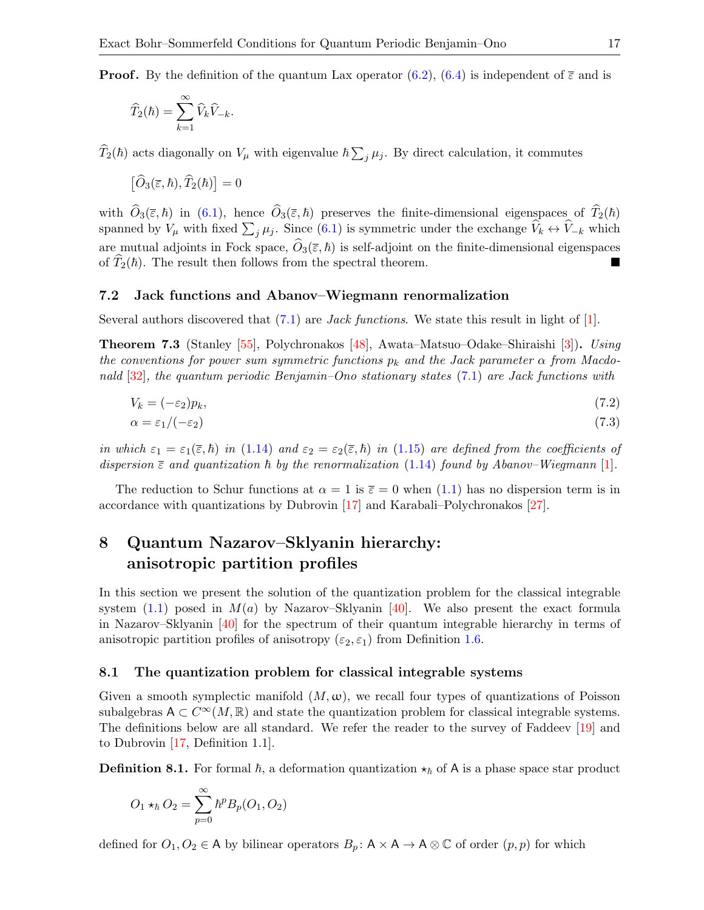**Proof.** By the definition of the quantum Lax operator [\(6.2\)](#page-14-2), [\(6.4\)](#page-15-1) is independent of  $\bar{\varepsilon}$  and is

$$
\widehat{T}_2(\hbar)=\sum_{k=1}^\infty \widehat{V}_k\widehat{V}_{-k}.
$$

 $\widehat{T}_2(\hbar)$  acts diagonally on  $V_\mu$  with eigenvalue  $\hbar \sum_j \mu_j$ . By direct calculation, it commutes

$$
\left[\widehat{O}_3(\overline{\varepsilon},\hbar),\widehat{T}_2(\hbar)\right]=0
$$

with  $\hat{O}_3(\bar{\varepsilon}, \hbar)$  in [\(6.1\)](#page-14-1), hence  $\hat{O}_3(\bar{\varepsilon}, \hbar)$  preserves the finite-dimensional eigenspaces of  $\hat{T}_2(\hbar)$ spanned by  $V_{\mu}$  with fixed  $\sum_j \mu_j$ . Since [\(6.1\)](#page-14-1) is symmetric under the exchange  $\dot{V}_k \leftrightarrow \dot{V}_{-k}$  which are mutual adjoints in Fock space,  $\widehat{O}_3(\overline{\varepsilon}, \hbar)$  is self-adjoint on the finite-dimensional eigenspaces<br>of  $\widehat{T}_3(\hbar)$ . The result then follows from the spectral theorem of  $\hat{T}_2(\hbar)$ . The result then follows from the spectral theorem.

#### <span id="page-16-5"></span>7.2 Jack functions and Abanov–Wiegmann renormalization

Several authors discovered that  $(7.1)$  are *Jack functions*. We state this result in light of [\[1\]](#page-24-1).

Theorem 7.3 (Stanley [\[55\]](#page-26-24), Polychronakos [\[48\]](#page-26-14), Awata–Matsuo–Odake–Shiraishi [\[3\]](#page-24-4)). Using the conventions for power sum symmetric functions  $p_k$  and the Jack parameter  $\alpha$  from Macdonald  $[32]$ , the quantum periodic Benjamin–Ono stationary states [\(7.1\)](#page-15-2) are Jack functions with

$$
V_k = (-\varepsilon_2)p_k,\tag{7.2}
$$

<span id="page-16-4"></span><span id="page-16-3"></span>
$$
\alpha = \varepsilon_1 / (-\varepsilon_2) \tag{7.3}
$$

in which  $\varepsilon_1 = \varepsilon_1(\bar{\varepsilon}, \bar{h})$  in [\(1.14\)](#page-3-3) and  $\varepsilon_2 = \varepsilon_2(\bar{\varepsilon}, \bar{h})$  in [\(1.15\)](#page-3-5) are defined from the coefficients of dispersion  $\bar{\epsilon}$  and quantization  $\bar{h}$  by the renormalization [\(1.14\)](#page-3-3) found by Abanov–Wiegmann [\[1\]](#page-24-1).

The reduction to Schur functions at  $\alpha = 1$  is  $\bar{\varepsilon} = 0$  when  $(1.1)$  has no dispersion term is in accordance with quantizations by Dubrovin [\[17\]](#page-25-25) and Karabali–Polychronakos [\[27\]](#page-25-26).

## <span id="page-16-0"></span>8 Quantum Nazarov–Sklyanin hierarchy: anisotropic partition profiles

In this section we present the solution of the quantization problem for the classical integrable system  $(1.1)$  posed in  $M(a)$  by Nazarov–Sklyanin [\[40\]](#page-26-6). We also present the exact formula in Nazarov–Sklyanin [\[40\]](#page-26-6) for the spectrum of their quantum integrable hierarchy in terms of anisotropic partition profiles of anisotropy ( $\varepsilon_2$ ,  $\varepsilon_1$ ) from Definition [1.6.](#page-4-0)

#### <span id="page-16-2"></span>8.1 The quantization problem for classical integrable systems

Given a smooth symplectic manifold  $(M, \omega)$ , we recall four types of quantizations of Poisson subalgebras  $A \subset C^{\infty}(M,\mathbb{R})$  and state the quantization problem for classical integrable systems. The definitions below are all standard. We refer the reader to the survey of Faddeev [\[19\]](#page-25-27) and to Dubrovin [\[17,](#page-25-25) Definition 1.1].

<span id="page-16-1"></span>**Definition 8.1.** For formal  $\hbar$ , a deformation quantization  $\star_{\hbar}$  of A is a phase space star product

$$
O_1 \star_\hbar O_2 = \sum_{p=0}^\infty \hbar^p B_p(O_1, O_2)
$$

defined for  $O_1, O_2 \in A$  by bilinear operators  $B_p: A \times A \to A \otimes \mathbb{C}$  of order  $(p, p)$  for which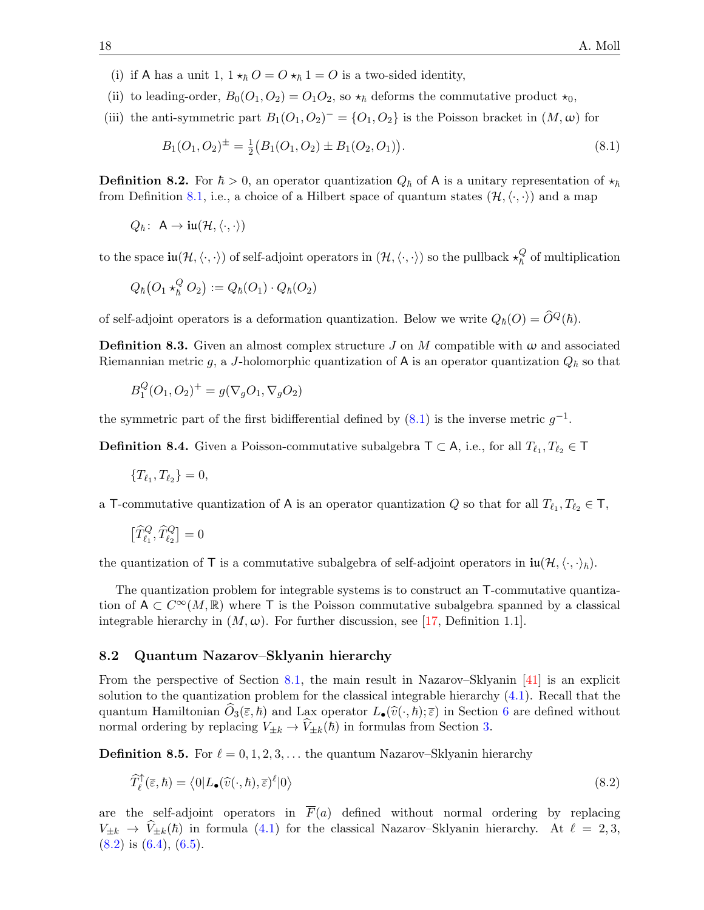(i) if A has a unit 1,  $1 \star_{\hbar} O = O \star_{\hbar} 1 = O$  is a two-sided identity,

(ii) to leading-order,  $B_0(O_1, O_2) = O_1 O_2$ , so  $\star_{\hbar}$  deforms the commutative product  $\star_0$ ,

(iii) the anti-symmetric part  $B_1(O_1, O_2)^{-} = \{O_1, O_2\}$  is the Poisson bracket in  $(M, \omega)$  for

<span id="page-17-1"></span>
$$
B_1(O_1, O_2)^{\pm} = \frac{1}{2} (B_1(O_1, O_2) \pm B_1(O_2, O_1)).
$$
\n(8.1)

**Definition 8.2.** For  $\hbar > 0$ , an operator quantization  $Q_{\hbar}$  of A is a unitary representation of  $\star_{\hbar}$ from Definition [8.1,](#page-16-1) i.e., a choice of a Hilbert space of quantum states  $(\mathcal{H}, \langle \cdot, \cdot \rangle)$  and a map

$$
Q_{\hbar}
$$
: A  $\rightarrow$  iu( $\mathcal{H}, \langle \cdot, \cdot \rangle$ )

to the space  $\text{iu}(\mathcal{H},\langle\cdot,\cdot\rangle)$  of self-adjoint operators in  $(\mathcal{H},\langle\cdot,\cdot\rangle)$  so the pullback  $\star^Q_\hbar$  of multiplication

$$
Q_{\hbar}(O_1 \star_{\hbar}^Q O_2) := Q_{\hbar}(O_1) \cdot Q_{\hbar}(O_2)
$$

of self-adjoint operators is a deformation quantization. Below we write  $Q_h(O) = \widehat{O}^Q(h)$ .

**Definition 8.3.** Given an almost complex structure J on M compatible with  $\omega$  and associated Riemannian metric g, a J-holomorphic quantization of A is an operator quantization  $Q_{\hbar}$  so that

$$
B_1^Q(O_1, O_2)^+ = g(\nabla_g O_1, \nabla_g O_2)
$$

the symmetric part of the first bidifferential defined by  $(8.1)$  is the inverse metric  $g^{-1}$ .

**Definition 8.4.** Given a Poisson-commutative subalgebra  $\mathsf{T} \subset \mathsf{A}$ , i.e., for all  $T_{\ell_1}, T_{\ell_2} \in \mathsf{T}$ 

$$
\{T_{\ell_1}, T_{\ell_2}\} = 0,
$$

a T-commutative quantization of A is an operator quantization Q so that for all  $T_{\ell_1}, T_{\ell_2} \in \mathsf{T}$ ,

$$
\big[\widehat{T}_{\ell_1}^Q,\widehat{T}_{\ell_2}^Q\big]=0
$$

the quantization of T is a commutative subalgebra of self-adjoint operators in  $\mathbf{u}(\mathcal{H},\langle\cdot,\cdot\rangle_{\hbar}).$ 

The quantization problem for integrable systems is to construct an T-commutative quantization of  $A \subset C^{\infty}(M,\mathbb{R})$  where T is the Poisson commutative subalgebra spanned by a classical integrable hierarchy in  $(M, \omega)$ . For further discussion, see [\[17,](#page-25-25) Definition 1.1].

#### <span id="page-17-0"></span>8.2 Quantum Nazarov–Sklyanin hierarchy

From the perspective of Section [8.1,](#page-16-2) the main result in Nazarov–Sklyanin [\[41\]](#page-26-17) is an explicit solution to the quantization problem for the classical integrable hierarchy [\(4.1\)](#page-8-4). Recall that the quantum Hamiltonian  $\hat{O}_3(\bar{\varepsilon}, \hbar)$  and Lax operator  $L_{\bullet}(\hat{v}(\cdot, \hbar); \bar{\varepsilon})$  in Section [6](#page-13-0) are defined without normal ordering by replacing  $V_{\pm k} \rightarrow \hat{V}_{\pm k}(\hbar)$  in formulas from Section [3.](#page-6-0)

**Definition 8.5.** For  $\ell = 0, 1, 2, 3, \ldots$  the quantum Nazarov–Sklyanin hierarchy

<span id="page-17-2"></span>
$$
\widehat{T}_{\ell}^{\uparrow}(\overline{\varepsilon},\hbar) = \left\langle 0 | L_{\bullet}(\widehat{v}(\cdot,\hbar),\overline{\varepsilon})^{\ell} | 0 \right\rangle \tag{8.2}
$$

are the self-adjoint operators in  $\overline{F}(a)$  defined without normal ordering by replacing  $V_{\pm k} \rightarrow \hat{V}_{\pm k}(\hbar)$  in formula [\(4.1\)](#page-8-4) for the classical Nazarov–Sklyanin hierarchy. At  $\ell = 2, 3$ ,  $(8.2)$  is  $(6.4)$ ,  $(6.5)$ .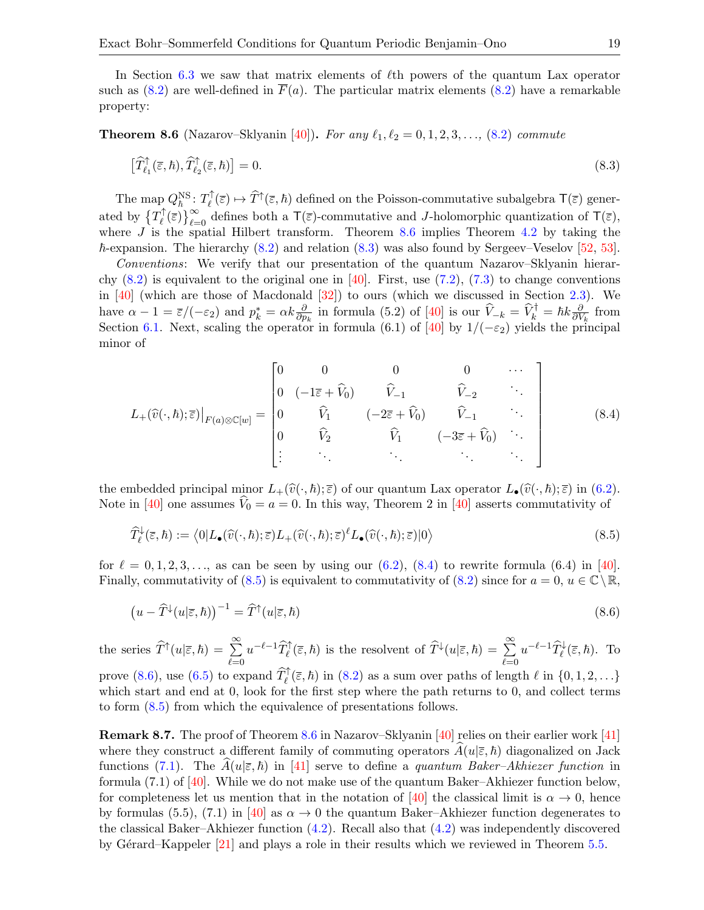In Section [6.3](#page-14-4) we saw that matrix elements of  $\ell$ th powers of the quantum Lax operator such as  $(8.2)$  are well-defined in  $\overline{F}(a)$ . The particular matrix elements  $(8.2)$  have a remarkable property:

<span id="page-18-0"></span>**Theorem 8.6** (Nazarov–Sklyanin [\[40\]](#page-26-6)). For any  $\ell_1, \ell_2 = 0, 1, 2, 3, \ldots$ , [\(8.2\)](#page-17-2) commute

<span id="page-18-1"></span>
$$
\left[\widehat{T}_{\ell_1}^{\dagger}(\overline{\varepsilon},\hbar),\widehat{T}_{\ell_2}^{\dagger}(\overline{\varepsilon},\hbar)\right]=0.\tag{8.3}
$$

The map  $Q_{\hbar}^{\text{NS}}$ :  $T_{\ell}^{\uparrow}$  $(\overline{\xi}) \mapsto \widehat{T}^{\uparrow}(\overline{\varepsilon}, \hbar)$  defined on the Poisson-commutative subalgebra  $\mathsf{T}(\overline{\varepsilon})$  generated by  $\{T_\ell^\uparrow\}$  $(\overline{\epsilon})\}_{\ell=0}^{\infty}$  defines both a  $\mathsf{T}(\overline{\epsilon})$ -commutative and J-holomorphic quantization of  $\mathsf{T}(\overline{\epsilon})$ , where J is the spatial Hilbert transform. Theorem [8.6](#page-18-0) implies Theorem [4.2](#page-8-5) by taking the  $\hbar$ -expansion. The hierarchy [\(8.2\)](#page-17-2) and relation [\(8.3\)](#page-18-1) was also found by Sergeev–Veselov [\[52,](#page-26-18) [53\]](#page-26-19).

Conventions: We verify that our presentation of the quantum Nazarov–Sklyanin hierarchy  $(8.2)$  is equivalent to the original one in [\[40\]](#page-26-6). First, use  $(7.2)$ ,  $(7.3)$  to change conventions in  $[40]$  (which are those of Macdonald  $[32]$ ) to ours (which we discussed in Section [2.3\)](#page-6-1). We have  $\alpha - 1 = \bar{\varepsilon}/(-\varepsilon_2)$  and  $p_k^* = \alpha k \frac{\partial}{\partial p_k}$  in formula (5.2) of [\[40\]](#page-26-6) is our  $\hat{V}_{-k} = \hat{V}_k^{\dagger} = \hbar k \frac{\partial}{\partial V}$  $\frac{\partial}{\partial V_k}$  from Section [6.1.](#page-13-2) Next, scaling the operator in formula (6.1) of [\[40\]](#page-26-6) by  $1/(-\varepsilon_2)$  yields the principal minor of

<span id="page-18-2"></span>
$$
L_{+}(\widehat{v}(\cdot,\hbar);\overline{\varepsilon})\big|_{F(a)\otimes\mathbb{C}[w]} = \begin{bmatrix} 0 & 0 & 0 & 0 & \cdots \\ 0 & (-1\overline{\varepsilon} + \widehat{V}_{0}) & \widehat{V}_{-1} & \widehat{V}_{-2} & \cdots \\ 0 & \widehat{V}_{1} & (-2\overline{\varepsilon} + \widehat{V}_{0}) & \widehat{V}_{-1} & \cdots \\ 0 & \widehat{V}_{2} & \widehat{V}_{1} & (-3\overline{\varepsilon} + \widehat{V}_{0}) & \cdots \\ \vdots & \ddots & \ddots & \ddots \end{bmatrix}
$$
(8.4)

the embedded principal minor  $L_+(\widehat{v}(\cdot, \hbar); \overline{\varepsilon})$  of our quantum Lax operator  $L_{\bullet}(\widehat{v}(\cdot, \hbar); \overline{\varepsilon})$  in  $(6.2)$ . Note in [\[40\]](#page-26-6) one assumes  $V_0 = a = 0$ . In this way, Theorem 2 in [40] asserts commutativity of

<span id="page-18-3"></span>
$$
\widehat{T}_{\ell}^{\downarrow}(\overline{\varepsilon},\hbar) := \langle 0|L_{\bullet}(\widehat{v}(\cdot,\hbar);\overline{\varepsilon})L_{+}(\widehat{v}(\cdot,\hbar);\overline{\varepsilon})^{\ell}L_{\bullet}(\widehat{v}(\cdot,\hbar);\overline{\varepsilon})|0\rangle \tag{8.5}
$$

for  $\ell = 0, 1, 2, 3, \ldots$ , as can be seen by using our [\(6.2\)](#page-14-2), [\(8.4\)](#page-18-2) to rewrite formula (6.4) in [\[40\]](#page-26-6). Finally, commutativity of  $(8.5)$  is equivalent to commutativity of  $(8.2)$  since for  $a = 0, u \in \mathbb{C} \setminus \mathbb{R}$ ,

<span id="page-18-4"></span>
$$
\left(u - \widehat{T}^{\downarrow}(u|\overline{\varepsilon}, \hbar)\right)^{-1} = \widehat{T}^{\uparrow}(u|\overline{\varepsilon}, \hbar)
$$
\n(8.6)

the series  $\widehat{T}^{\uparrow}(u|\overline{\varepsilon},\hbar)=\sum_{\ell=\ell}^{\infty}$  $_{\ell=0}$  $u^{-\ell-1}\widehat{T}_{\ell}^{\uparrow}(\bar{\varepsilon},\hbar)$  is the resolvent of  $\widehat{T}^{\downarrow}(u|\bar{\varepsilon},\hbar)=\sum_{\ell=\ell}^{\infty}$  $_{\ell=0}$  $u^{-\ell-1}\widehat{T}_{\ell}^{\downarrow}(\overline{\varepsilon},\hbar)$ . To prove [\(8.6\)](#page-18-4), use [\(6.5\)](#page-14-5) to expand  $\widehat{T}_{\ell}^{\uparrow}(\bar{\varepsilon},\hbar)$  in [\(8.2\)](#page-17-2) as a sum over paths of length  $\ell$  in  $\{0, 1, 2, \ldots\}$ which start and end at 0, look for the first step where the path returns to 0, and collect terms to form [\(8.5\)](#page-18-3) from which the equivalence of presentations follows.

Remark 8.7. The proof of Theorem [8.6](#page-18-0) in Nazarov–Sklyanin [\[40\]](#page-26-6) relies on their earlier work [\[41\]](#page-26-17) where they construct a different family of commuting operators  $A(u|\bar{\varepsilon}, \hbar)$  diagonalized on Jack functions [\(7.1\)](#page-15-2). The  $A(u|\bar{\varepsilon}, \hbar)$  in [\[41\]](#page-26-17) serve to define a quantum Baker–Akhiezer function in formula (7.1) of [\[40\]](#page-26-6). While we do not make use of the quantum Baker–Akhiezer function below, for completeness let us mention that in the notation of [\[40\]](#page-26-6) the classical limit is  $\alpha \to 0$ , hence by formulas (5.5), (7.1) in [\[40\]](#page-26-6) as  $\alpha \to 0$  the quantum Baker–Akhiezer function degenerates to the classical Baker–Akhiezer function [\(4.2\)](#page-9-1). Recall also that [\(4.2\)](#page-9-1) was independently discovered by Gérard–Kappeler  $[21]$  and plays a role in their results which we reviewed in Theorem [5.5.](#page-12-2)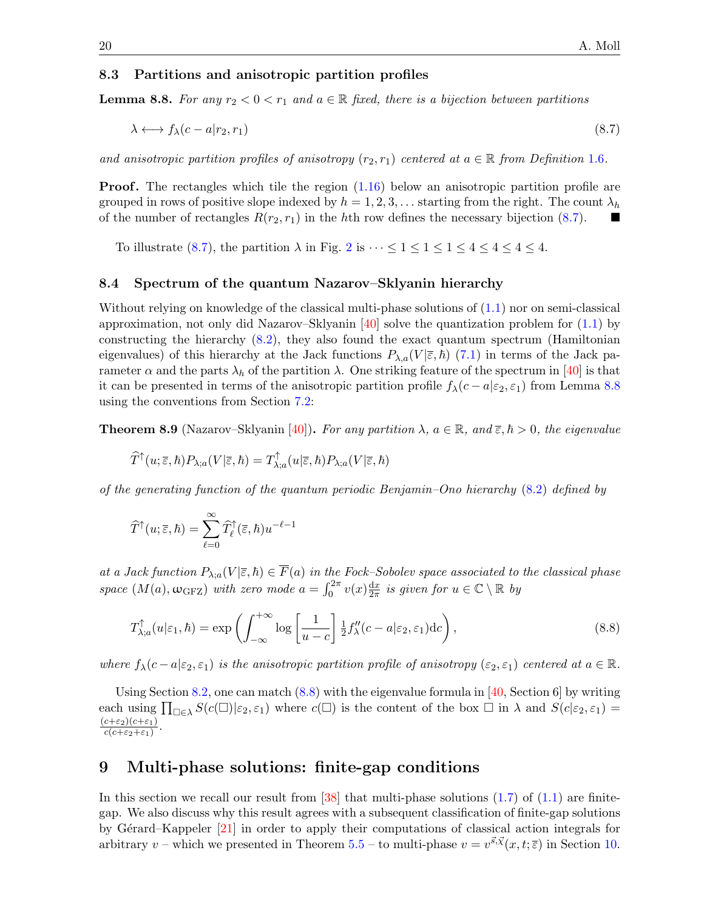#### 8.3 Partitions and anisotropic partition profiles

<span id="page-19-2"></span>**Lemma 8.8.** For any  $r_2 < 0 < r_1$  and  $a \in \mathbb{R}$  fixed, there is a bijection between partitions

<span id="page-19-1"></span>
$$
\lambda \longleftrightarrow f_{\lambda}(c - a|r_2, r_1) \tag{8.7}
$$

and anisotropic partition profiles of anisotropy  $(r_2, r_1)$  centered at  $a \in \mathbb{R}$  from Definition [1.6](#page-4-0).

**Proof.** The rectangles which tile the region  $(1.16)$  below an anisotropic partition profile are grouped in rows of positive slope indexed by  $h = 1, 2, 3, \ldots$  starting from the right. The count  $\lambda_h$ of the number of rectangles  $R(r_2, r_1)$  in the hth row defines the necessary bijection [\(8.7\)](#page-19-1).

To illustrate [\(8.7\)](#page-19-1), the partition  $\lambda$  in Fig. [2](#page-4-2) is  $\cdots \leq 1 \leq 1 \leq 1 \leq 4 \leq 4 \leq 4 \leq 4$ .

### 8.4 Spectrum of the quantum Nazarov–Sklyanin hierarchy

Without relying on knowledge of the classical multi-phase solutions of [\(1.1\)](#page-1-0) nor on semi-classical approximation, not only did Nazarov–Sklyanin [\[40\]](#page-26-6) solve the quantization problem for  $(1.1)$  by constructing the hierarchy [\(8.2\)](#page-17-2), they also found the exact quantum spectrum (Hamiltonian eigenvalues) of this hierarchy at the Jack functions  $P_{\lambda,a}(V|\bar{\varepsilon},\hbar)$  [\(7.1\)](#page-15-2) in terms of the Jack parameter  $\alpha$  and the parts  $\lambda_h$  of the partition  $\lambda$ . One striking feature of the spectrum in [\[40\]](#page-26-6) is that it can be presented in terms of the anisotropic partition profile  $f_{\lambda}(c-a|\epsilon_2, \epsilon_1)$  from Lemma [8.8](#page-19-2) using the conventions from Section [7.2:](#page-16-5)

<span id="page-19-4"></span>**Theorem 8.9** (Nazarov–Sklyanin [\[40\]](#page-26-6)). For any partition  $\lambda$ ,  $a \in \mathbb{R}$ , and  $\bar{\varepsilon}$ ,  $\hbar > 0$ , the eigenvalue

$$
\widehat{T}^{\uparrow}(u;\overline{\varepsilon},\hbar)P_{\lambda;a}(V|\overline{\varepsilon},\hbar)=T_{\lambda;a}^{\uparrow}(u|\overline{\varepsilon},\hbar)P_{\lambda;a}(V|\overline{\varepsilon},\hbar)
$$

of the generating function of the quantum periodic Benjamin–Ono hierarchy [\(8.2\)](#page-17-2) defined by

$$
\widehat{T}^{\uparrow}(u;\overline{\varepsilon},\hbar)=\sum_{\ell=0}^{\infty}\widehat{T}_{\ell}^{\uparrow}(\overline{\varepsilon},\hbar)u^{-\ell-1}
$$

at a Jack function  $P_{\lambda; a}(V|\overline{\varepsilon},\hbar) \in \overline{F}(a)$  in the Fock–Sobolev space associated to the classical phase space  $(M(a), \omega_{\text{GFZ}})$  with zero mode  $a = \int_0^{2\pi} v(x) \frac{dx}{2\pi}$  $\frac{dx}{2\pi}$  is given for  $u \in \mathbb{C} \setminus \mathbb{R}$  by

<span id="page-19-3"></span>
$$
T_{\lambda;a}^{\uparrow}(u|\varepsilon_1,\hbar) = \exp\left(\int_{-\infty}^{+\infty} \log\left[\frac{1}{u-c}\right] \frac{1}{2} f_{\lambda}''(c-a|\varepsilon_2,\varepsilon_1) \mathrm{d}c\right),\tag{8.8}
$$

where  $f_{\lambda}(c-a|\varepsilon_2, \varepsilon_1)$  is the anisotropic partition profile of anisotropy  $(\varepsilon_2, \varepsilon_1)$  centered at  $a \in \mathbb{R}$ .

Using Section [8.2,](#page-17-0) one can match  $(8.8)$  with the eigenvalue formula in [\[40,](#page-26-6) Section 6] by writing each using  $\prod_{\Box \in \lambda} S(c(\Box)|\varepsilon_2, \varepsilon_1)$  where  $c(\Box)$  is the content of the box  $\Box$  in  $\lambda$  and  $S(c|\varepsilon_2, \varepsilon_1)$  $(c+\varepsilon_2)(c+\varepsilon_1)$  $c(c+\varepsilon_2+\varepsilon_1)$ .

## <span id="page-19-0"></span>9 Multi-phase solutions: finite-gap conditions

In this section we recall our result from  $[38]$  that multi-phase solutions  $(1.7)$  of  $(1.1)$  are finitegap. We also discuss why this result agrees with a subsequent classification of finite-gap solutions by Gérard–Kappeler [\[21\]](#page-25-4) in order to apply their computations of classical action integrals for arbitrary v – which we presented in Theorem [5.5](#page-12-2) – to multi-phase  $v = v^{\vec{s}} \cdot \vec{x}(x, t; \overline{\epsilon})$  in Section [10.](#page-20-0)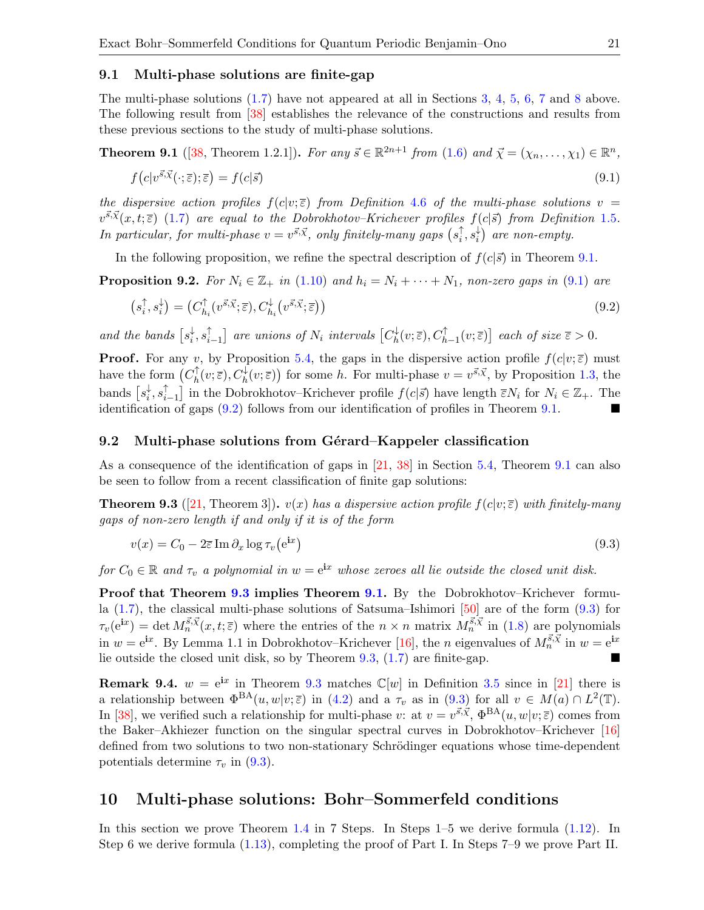#### 9.1 Multi-phase solutions are finite-gap

The multi-phase solutions [\(1.7\)](#page-2-0) have not appeared at all in Sections [3,](#page-6-0) [4,](#page-8-0) [5,](#page-11-0) [6,](#page-13-0) [7](#page-15-0) and [8](#page-16-0) above. The following result from [\[38\]](#page-26-11) establishes the relevance of the constructions and results from these previous sections to the study of multi-phase solutions.

<span id="page-20-1"></span>**Theorem 9.1** ([\[38,](#page-26-11) Theorem 1.2.1]). For any  $\vec{s} \in \mathbb{R}^{2n+1}$  from [\(1.6\)](#page-2-1) and  $\vec{\chi} = (\chi_n, \ldots, \chi_1) \in \mathbb{R}^n$ ,

<span id="page-20-2"></span>
$$
f(c|v^{\vec{s},\vec{\chi}}(\cdot;\overline{\varepsilon});\overline{\varepsilon}) = f(c|\vec{s})\tag{9.1}
$$

the dispersive action profiles  $f(c|v;\overline{\varepsilon})$  from Definition [4.6](#page-10-7) of the multi-phase solutions  $v =$  $v^{\vec{s}}\cdot\vec{x}(x,t;\overline{\epsilon})$  [\(1.7\)](#page-2-0) are equal to the Dobrokhotov–Krichever profiles  $f(c|\vec{s})$  from Definition [1.5](#page-4-3). In particular, for multi-phase  $v = v^{\vec{s}, \vec{\chi}}$ , only finitely-many gaps  $(s_i^{\uparrow})$  $_{i}^{\uparrow},s_{i}^{\downarrow}$  $\binom{1}{i}$  are non-empty.

In the following proposition, we refine the spectral description of  $f(c|\vec{s})$  in Theorem [9.1.](#page-20-1)

<span id="page-20-6"></span>**Proposition 9.2.** For  $N_i \in \mathbb{Z}_+$  in [\(1.10\)](#page-2-5) and  $h_i = N_i + \cdots + N_1$ , non-zero gaps in [\(9.1\)](#page-20-2) are

<span id="page-20-3"></span>
$$
(s_i^{\uparrow}, s_i^{\downarrow}) = (C_{h_i}^{\uparrow}(v^{\vec{s}, \vec{\chi}}; \overline{\varepsilon}), C_{h_i}^{\downarrow}(v^{\vec{s}, \vec{\chi}}; \overline{\varepsilon}))
$$
\n(9.2)

and the bands  $[s_i^{\downarrow}]$  $_{i}^{\downarrow},s_{i}^{\uparrow}$  $_{i-1}^{\uparrow}]$  are unions of  $N_i$  intervals  $\bigl[C_h^{\downarrow}\bigr]$  $h^{\downarrow}_h(v;\overline{\varepsilon}), C^{\uparrow}_{h-1}(v;\overline{\varepsilon})]$  each of size  $\overline{\varepsilon} > 0$ .

**Proof.** For any v, by Proposition [5.4,](#page-12-3) the gaps in the dispersive action profile  $f(c|v;\overline{\varepsilon})$  must have the form  $(C_h^{\uparrow})$  $h^{\uparrow}_h(v;\overline{\varepsilon}), C_h^{\downarrow}(v;\overline{\varepsilon})$  for some h. For multi-phase  $v = v^{\vec{s}, \vec{\chi}}$ , by Proposition [1.3,](#page-2-3) the bands  $[s_i^{\downarrow}]$  $_{i}^{\downarrow },s_{i}^{\uparrow }$  $\hat{i}_{i-1}$  in the Dobrokhotov–Krichever profile  $f(c|\vec{s})$  have length  $\bar{\varepsilon}N_i$  for  $N_i \in \mathbb{Z}_+$ . The identification of gaps [\(9.2\)](#page-20-3) follows from our identification of profiles in Theorem [9.1.](#page-20-1)

#### 9.2 Multi-phase solutions from Gérard–Kappeler classification

As a consequence of the identification of gaps in [\[21,](#page-25-4) [38\]](#page-26-11) in Section [5.4,](#page-12-4) Theorem [9.1](#page-20-1) can also be seen to follow from a recent classification of finite gap solutions:

<span id="page-20-4"></span>**Theorem 9.3** ([\[21,](#page-25-4) Theorem 3]).  $v(x)$  has a dispersive action profile  $f(c|v;\overline{\varepsilon})$  with finitely-many gaps of non-zero length if and only if it is of the form

<span id="page-20-5"></span>
$$
v(x) = C_0 - 2\overline{\varepsilon} \operatorname{Im} \partial_x \log \tau_v(e^{\mathbf{i}x})
$$
\n(9.3)

for  $C_0 \in \mathbb{R}$  and  $\tau_v$  a polynomial in  $w = e^{ix}$  whose zeroes all lie outside the closed unit disk.

Proof that Theorem [9.3](#page-20-4) implies Theorem [9.1.](#page-20-1) By the Dobrokhotov–Krichever formula [\(1.7\)](#page-2-0), the classical multi-phase solutions of Satsuma–Ishimori [\[50\]](#page-26-5) are of the form [\(9.3\)](#page-20-5) for  $\tau_v(e^{ix}) = \det M_n^{\vec{s},\vec{\chi}}(x,t;\overline{\epsilon})$  where the entries of the  $n \times n$  matrix  $M_n^{\vec{s},\vec{\chi}}$  in [\(1.8\)](#page-2-2) are polynomials in  $w = e^{ix}$ . By Lemma 1.1 in Dobrokhotov–Krichever [\[16\]](#page-25-2), the *n* eigenvalues of  $M_n^{\vec{s}, \vec{\chi}}$  in  $w = e^{ix}$ . lie outside the closed unit disk, so by Theorem [9.3,](#page-20-4) [\(1.7\)](#page-2-0) are finite-gap.

**Remark 9.4.**  $w = e^{ix}$  in Theorem [9.3](#page-20-4) matches  $\mathbb{C}[w]$  in Definition [3.5](#page-7-6) since in [\[21\]](#page-25-4) there is a relationship between  $\Phi^{BA}(u, w|v; \overline{\varepsilon})$  in [\(4.2\)](#page-9-1) and a  $\tau_v$  as in [\(9.3\)](#page-20-5) for all  $v \in M(a) \cap L^2(\mathbb{T})$ . In [\[38\]](#page-26-11), we verified such a relationship for multi-phase v: at  $v = v^{\vec{s}, \vec{\chi}}, \Phi^{BA}(u, w|v; \vec{\varepsilon})$  comes from the Baker–Akhiezer function on the singular spectral curves in Dobrokhotov–Krichever [\[16\]](#page-25-2) defined from two solutions to two non-stationary Schrödinger equations whose time-dependent potentials determine  $\tau_v$  in [\(9.3\)](#page-20-5).

## <span id="page-20-0"></span>10 Multi-phase solutions: Bohr–Sommerfeld conditions

In this section we prove Theorem [1.4](#page-3-0) in 7 Steps. In Steps 1–5 we derive formula [\(1.12\)](#page-3-1). In Step 6 we derive formula [\(1.13\)](#page-3-2), completing the proof of Part I. In Steps 7–9 we prove Part II.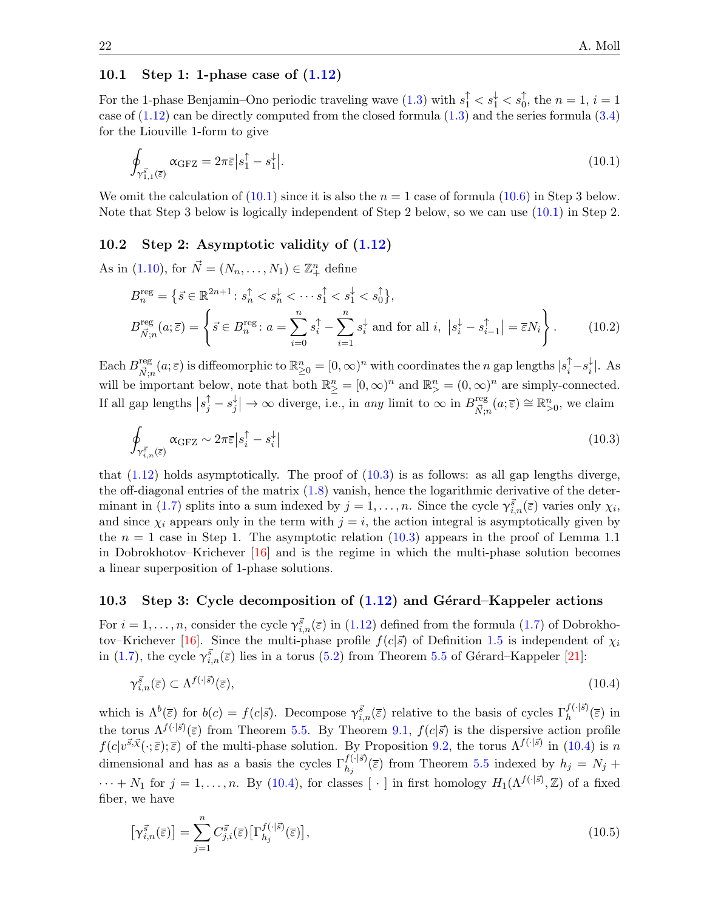## 10.1 Step 1: 1-phase case of [\(1.12\)](#page-3-1)

For the 1-phase Benjamin–Ono periodic traveling wave  $(1.3)$  with  $s_1^{\uparrow} < s_1^{\downarrow} < s_0^{\uparrow}$ , the  $n = 1$ ,  $i = 1$ case of  $(1.12)$  can be directly computed from the closed formula  $(1.3)$  and the series formula  $(3.4)$ for the Liouville 1-form to give

<span id="page-21-0"></span>
$$
\oint_{\gamma_{1,1}^{\vec{s}}(\vec{\epsilon})} \alpha_{\text{GFZ}} = 2\pi \vec{\epsilon} |s_1^{\uparrow} - s_1^{\downarrow}|.
$$
\n(10.1)

We omit the calculation of  $(10.1)$  since it is also the  $n = 1$  case of formula  $(10.6)$  in Step 3 below. Note that Step 3 below is logically independent of Step 2 below, so we can use [\(10.1\)](#page-21-0) in Step 2.

#### 10.2 Step 2: Asymptotic validity of [\(1.12\)](#page-3-1)

As in [\(1.10\)](#page-2-5), for  $\vec{N} = (N_n, ..., N_1) \in \mathbb{Z}_+^n$  define

<span id="page-21-4"></span>
$$
B_n^{\text{reg}} = \left\{ \vec{s} \in \mathbb{R}^{2n+1} : s_n^{\uparrow} < s_n^{\downarrow} < \cdots s_1^{\uparrow} < s_1^{\downarrow} < s_0^{\uparrow} \right\},
$$
\n
$$
B_{\vec{N};n}^{\text{reg}}(a; \overline{\varepsilon}) = \left\{ \vec{s} \in B_n^{\text{reg}} : a = \sum_{i=0}^n s_i^{\uparrow} - \sum_{i=1}^n s_i^{\downarrow} \text{ and for all } i, \ |s_i^{\downarrow} - s_{i-1}^{\uparrow}| = \overline{\varepsilon} N_i \right\}.
$$
\n(10.2)

Each  $B_{\vec{\boldsymbol{\kappa}}_c}^{\text{reg}}$  $\mathbb{E}_{\vec{N};n}^{\text{reg}}(a;\bar{\varepsilon})$  is diffeomorphic to  $\mathbb{R}_{\geq 0}^n = [0,\infty)^n$  with coordinates the n gap lengths  $|s_i^{\uparrow} - s_i^{\downarrow}$  $_{i}^{\downarrow}$ . As will be important below, note that both  $\mathbb{R}^n_{\geq} = [0, \infty)^n$  and  $\mathbb{R}^n_{\geq} = (0, \infty)^n$  are simply-connected. If all gap lengths  $|s_j^{\uparrow} - s_j^{\downarrow}$  $\frac{1}{j}$   $\rightarrow \infty$  diverge, i.e., in any limit to  $\infty$  in  $B_{\vec{N};n}^{\text{reg}}$  $\lim_{\vec{N},n}(a;\overline{\varepsilon}) \cong \mathbb{R}_{>0}^n$ , we claim

<span id="page-21-1"></span>
$$
\oint_{\gamma_{i,n}^{\vec{s}}(\bar{\varepsilon})} \alpha_{\text{GFZ}} \sim 2\pi \bar{\varepsilon} \left| s_i^{\uparrow} - s_i^{\downarrow} \right| \tag{10.3}
$$

that  $(1.12)$  holds asymptotically. The proof of  $(10.3)$  is as follows: as all gap lengths diverge, the off-diagonal entries of the matrix [\(1.8\)](#page-2-2) vanish, hence the logarithmic derivative of the deter-minant in [\(1.7\)](#page-2-0) splits into a sum indexed by  $j = 1, \ldots, n$ . Since the cycle  $\gamma_{i,n}^{\vec{s}}(\overline{\epsilon})$  varies only  $\chi_i$ , and since  $\chi_i$  appears only in the term with  $j = i$ , the action integral is asymptotically given by the  $n = 1$  case in Step 1. The asymptotic relation [\(10.3\)](#page-21-1) appears in the proof of Lemma 1.1 in Dobrokhotov–Krichever [\[16\]](#page-25-2) and is the regime in which the multi-phase solution becomes a linear superposition of 1-phase solutions.

#### 10.3 Step 3: Cycle decomposition of  $(1.12)$  and Gérard–Kappeler actions

For  $i = 1, \ldots, n$ , consider the cycle  $\gamma_{i,n}^{\vec{s}}(\bar{\varepsilon})$  in [\(1.12\)](#page-3-1) defined from the formula [\(1.7\)](#page-2-0) of Dobrokho-tov–Krichever [\[16\]](#page-25-2). Since the multi-phase profile  $f(c|\vec{s})$  of Definition [1.5](#page-4-3) is independent of  $\chi_i$ in [\(1.7\)](#page-2-0), the cycle  $\gamma_{i,n}^{\vec{s}}(\bar{z})$  lies in a torus [\(5.2\)](#page-12-5) from Theorem [5.5](#page-12-2) of Gérard–Kappeler [\[21\]](#page-25-4):

<span id="page-21-2"></span>
$$
\gamma_{i,n}^{\vec{s}}(\bar{\varepsilon}) \subset \Lambda^{f(\cdot|\bar{s})}(\bar{\varepsilon}),\tag{10.4}
$$

which is  $\Lambda^b(\overline{\varepsilon})$  for  $b(c) = f(c|\vec{s})$ . Decompose  $\gamma_{i,n}^{\vec{s}}(\overline{\varepsilon})$  relative to the basis of cycles  $\Gamma_h^{f(\cdot|\vec{s})}(\overline{\varepsilon})$  in the torus  $\Lambda^{f(\cdot|\vec{s})}(\bar{\varepsilon})$  from Theorem [5.5.](#page-12-2) By Theorem [9.1,](#page-20-1)  $f(c|\vec{s})$  is the dispersive action profile  $f(c|v^{\vec{s}}\vec{x}(\cdot;\overline{\epsilon});\overline{\epsilon})$  of the multi-phase solution. By Proposition [9.2,](#page-20-6) the torus  $\Lambda^{f(\cdot|\vec{s})}$  in [\(10.4\)](#page-21-2) is n dimensional and has as a basis the cycles  $\Gamma_{h_j}^{f(\cdot|\vec{s})}(\bar{z})$  from Theorem [5.5](#page-12-2) indexed by  $h_j = N_j +$  $\cdots + N_1$  for  $j = 1, \ldots, n$ . By [\(10.4\)](#page-21-2), for classes [ $\cdot$ ] in first homology  $H_1(\Lambda^{f(\cdot|\vec{s})}, \mathbb{Z})$  of a fixed fiber, we have

<span id="page-21-3"></span>
$$
\left[\gamma_{i,n}^{\vec{s}}(\overline{\varepsilon})\right] = \sum_{j=1}^{n} C_{j,i}^{\vec{s}}(\overline{\varepsilon}) \left[\Gamma_{h_j}^{f(\cdot|\vec{s})}(\overline{\varepsilon})\right],\tag{10.5}
$$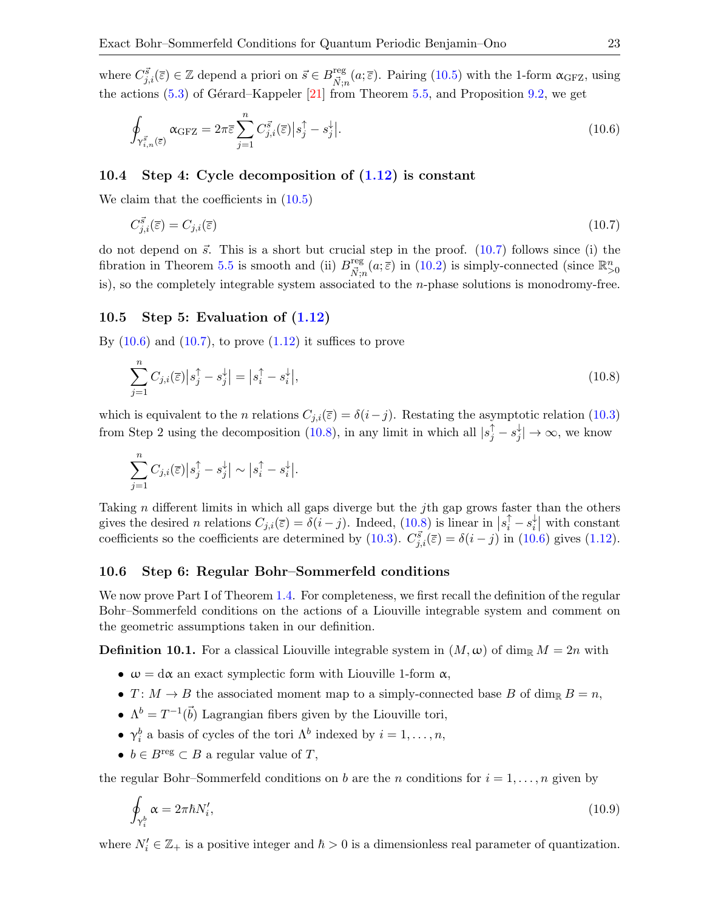<span id="page-22-0"></span>
$$
\oint_{\gamma_{i,n}^{\vec{s}}(\overline{\epsilon})} \alpha_{\text{GFZ}} = 2\pi \overline{\epsilon} \sum_{j=1}^{n} C_{j,i}^{\vec{s}}(\overline{\epsilon}) \left| s_j^{\uparrow} - s_j^{\downarrow} \right|.
$$
\n(10.6)

## 10.4 Step 4: Cycle decomposition of [\(1.12\)](#page-3-1) is constant

We claim that the coefficients in [\(10.5\)](#page-21-3)

<span id="page-22-1"></span>
$$
C_{j,i}^{\vec{s}}(\overline{\varepsilon}) = C_{j,i}(\overline{\varepsilon}) \tag{10.7}
$$

do not depend on  $\vec{s}$ . This is a short but crucial step in the proof. [\(10.7\)](#page-22-1) follows since (i) the fibration in Theorem [5.5](#page-12-2) is smooth and (ii)  $B_{\vec{\boldsymbol{n}}^{\text{reg}}}$  $\frac{\text{reg}}{\vec{N};n}(a;\bar{\varepsilon})$  in [\(10.2\)](#page-21-4) is simply-connected (since  $\mathbb{R}^n_{>0}$ is), so the completely integrable system associated to the n-phase solutions is monodromy-free.

#### 10.5 Step 5: Evaluation of  $(1.12)$

By  $(10.6)$  and  $(10.7)$ , to prove  $(1.12)$  it suffices to prove

<span id="page-22-2"></span>
$$
\sum_{j=1}^{n} C_{j,i}(\overline{\varepsilon}) \left| s_j^{\uparrow} - s_j^{\downarrow} \right| = \left| s_i^{\uparrow} - s_i^{\downarrow} \right|,\tag{10.8}
$$

which is equivalent to the n relations  $C_{j,i}(\bar{z}) = \delta(i-j)$ . Restating the asymptotic relation [\(10.3\)](#page-21-1) from Step 2 using the decomposition [\(10.8\)](#page-22-2), in any limit in which all  $|s_j^{\uparrow} - s_j^{\downarrow}$  $|j'_{j}| \rightarrow \infty$ , we know

$$
\sum_{j=1}^{n} C_{j,i}(\overline{z}) \left| s_j^{\uparrow} - s_j^{\downarrow} \right| \sim \left| s_i^{\uparrow} - s_i^{\downarrow} \right|.
$$

Taking n different limits in which all gaps diverge but the j<sup>th</sup> gap grows faster than the others gives the desired n relations  $C_{j,i}(\overline{\varepsilon}) = \delta(i-j)$ . Indeed,  $(10.8)$  is linear in  $|s_i^{\uparrow} - s_i^{\downarrow}|$  $\begin{bmatrix} \downarrow \\ i \end{bmatrix}$  with constant coefficients so the coefficients are determined by [\(10.3\)](#page-21-1).  $C_{j,i}^{\vec{s}}(\bar{\varepsilon}) = \delta(i-j)$  in [\(10.6\)](#page-22-0) gives [\(1.12\)](#page-3-1).

#### 10.6 Step 6: Regular Bohr–Sommerfeld conditions

We now prove Part I of Theorem [1.4.](#page-3-0) For completeness, we first recall the definition of the regular Bohr–Sommerfeld conditions on the actions of a Liouville integrable system and comment on the geometric assumptions taken in our definition.

<span id="page-22-3"></span>**Definition 10.1.** For a classical Liouville integrable system in  $(M, \omega)$  of dim<sub>R</sub>  $M = 2n$  with

- $\omega = d\alpha$  an exact symplectic form with Liouville 1-form  $\alpha$ ,
- $T: M \to B$  the associated moment map to a simply-connected base B of dim<sub>R</sub>  $B = n$ ,
- $\Lambda^b = T^{-1}(\vec{b})$  Lagrangian fibers given by the Liouville tori,
- $\gamma_i^b$  a basis of cycles of the tori  $\Lambda^b$  indexed by  $i = 1, \ldots, n$ ,
- $b \in B^{\text{reg}} \subset B$  a regular value of T,

the regular Bohr–Sommerfeld conditions on b are the n conditions for  $i = 1, \ldots, n$  given by

<span id="page-22-4"></span>
$$
\oint_{\gamma_i^b} \alpha = 2\pi \hbar N_i',\tag{10.9}
$$

where  $N_i' \in \mathbb{Z}_+$  is a positive integer and  $\hbar > 0$  is a dimensionless real parameter of quantization.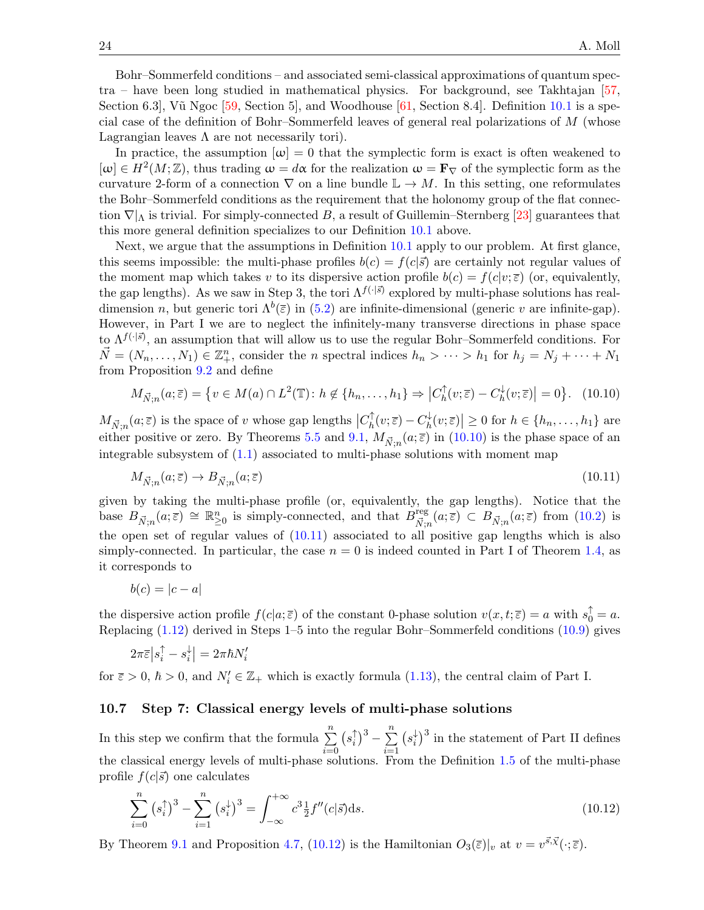Bohr–Sommerfeld conditions – and associated semi-classical approximations of quantum spec $tra$  – have been long studied in mathematical physics. For background, see Takhtajan  $[57,$ Section 6.3, V $\tilde{u}$  Ngoc [\[59,](#page-26-25) Section 5], and Woodhouse [\[61,](#page-26-23) Section 8.4]. Definition [10.1](#page-22-3) is a special case of the definition of Bohr–Sommerfeld leaves of general real polarizations of M (whose Lagrangian leaves  $\Lambda$  are not necessarily tori).

In practice, the assumption  $|\omega|=0$  that the symplectic form is exact is often weakened to  $[\omega] \in H^2(M;\mathbb{Z})$ , thus trading  $\omega = d\alpha$  for the realization  $\omega = \mathbf{F}_{\nabla}$  of the symplectic form as the curvature 2-form of a connection  $\nabla$  on a line bundle  $\mathbb{L} \to M$ . In this setting, one reformulates the Bohr–Sommerfeld conditions as the requirement that the holonomy group of the flat connection  $\nabla|_{\Lambda}$  is trivial. For simply-connected B, a result of Guillemin–Sternberg [\[23\]](#page-25-28) guarantees that this more general definition specializes to our Definition [10.1](#page-22-3) above.

Next, we argue that the assumptions in Definition [10.1](#page-22-3) apply to our problem. At first glance, this seems impossible: the multi-phase profiles  $b(c) = f(c|\vec{s})$  are certainly not regular values of the moment map which takes v to its dispersive action profile  $b(c) = f(c|v;\overline{\varepsilon})$  (or, equivalently, the gap lengths). As we saw in Step 3, the tori  $\Lambda^{f(\cdot|\vec{s})}$  explored by multi-phase solutions has realdimension n, but generic tori  $\Lambda^b(\bar{z})$  in [\(5.2\)](#page-12-5) are infinite-dimensional (generic v are infinite-gap). However, in Part I we are to neglect the infinitely-many transverse directions in phase space to  $\Lambda^{f(\cdot|\vec{s})}$ , an assumption that will allow us to use the regular Bohr–Sommerfeld conditions. For  $\vec{N} = (N_n, \ldots, N_1) \in \mathbb{Z}_+^n$ , consider the *n* spectral indices  $h_n > \cdots > h_1$  for  $h_j = N_j + \cdots + N_1$ from Proposition [9.2](#page-20-6) and define

<span id="page-23-0"></span>
$$
M_{\vec{N};n}(a;\overline{\varepsilon}) = \left\{ v \in M(a) \cap L^2(\mathbb{T}) : h \notin \{ h_n, \dots, h_1 \} \Rightarrow \left| C_h^{\uparrow}(v;\overline{\varepsilon}) - C_h^{\downarrow}(v;\overline{\varepsilon}) \right| = 0 \right\}. \tag{10.10}
$$

 $M_{\vec{N};n}(a;\bar{\varepsilon})$  is the space of v whose gap lengths  $|C_h^{\uparrow}|$  $C_h^{\uparrow}(v;\overline{\varepsilon})-C_h^{\downarrow}$  $|h_h^{\downarrow}(v;\overline{\varepsilon})| \geq 0$  for  $h \in \{h_n, \ldots, h_1\}$  are either positive or zero. By Theorems [5.5](#page-12-2) and [9.1,](#page-20-1)  $M_{\vec{N},n}(a;\overline{\varepsilon})$  in [\(10.10\)](#page-23-0) is the phase space of an integrable subsystem of  $(1.1)$  associated to multi-phase solutions with moment map

<span id="page-23-1"></span>
$$
M_{\vec{N};n}(a;\bar{\varepsilon}) \to B_{\vec{N};n}(a;\bar{\varepsilon})\tag{10.11}
$$

given by taking the multi-phase profile (or, equivalently, the gap lengths). Notice that the base  $B_{\vec{N};n}(a;\bar{\varepsilon}) \cong \mathbb{R}^n_{\geq 0}$  is simply-connected, and that  $B_{\vec{N};n}^{\text{reg}}$  $\frac{\partial^{\text{reg}}}{\partial \vec{N};n}(a;\overline{\varepsilon}) \subset B_{\vec{N};n}(a;\overline{\varepsilon}) \text{ from (10.2) is}$  $\frac{\partial^{\text{reg}}}{\partial \vec{N};n}(a;\overline{\varepsilon}) \subset B_{\vec{N};n}(a;\overline{\varepsilon}) \text{ from (10.2) is}$  $\frac{\partial^{\text{reg}}}{\partial \vec{N};n}(a;\overline{\varepsilon}) \subset B_{\vec{N};n}(a;\overline{\varepsilon}) \text{ from (10.2) is}$ the open set of regular values of [\(10.11\)](#page-23-1) associated to all positive gap lengths which is also simply-connected. In particular, the case  $n = 0$  is indeed counted in Part I of Theorem [1.4,](#page-3-0) as it corresponds to

$$
b(c) = |c - a|
$$

the dispersive action profile  $f(c|a;\overline{\varepsilon})$  of the constant 0-phase solution  $v(x,t;\overline{\varepsilon}) = a$  with  $s_0^{\uparrow} = a$ . Replacing [\(1.12\)](#page-3-1) derived in Steps 1–5 into the regular Bohr–Sommerfeld conditions [\(10.9\)](#page-22-4) gives

$$
2\pi\overline{\varepsilon}\left|s_i^\uparrow-s_i^\downarrow\right|=2\pi\hbar N_i'
$$

for  $\bar{\varepsilon} > 0$ ,  $\hbar > 0$ , and  $N'_i \in \mathbb{Z}_+$  which is exactly formula [\(1.13\)](#page-3-2), the central claim of Part I.

#### 10.7 Step 7: Classical energy levels of multi-phase solutions

In this step we confirm that the formula  $\sum_{n=1}^n$  $i=0$  $(s_i)$  $\binom{n}{i}^3 - \sum_{i=1}^n$  $i=1$  $(s_i^{\downarrow})$  $\frac{1}{i}$ <sup>3</sup> in the statement of Part II defines the classical energy levels of multi-phase solutions. From the Definition [1.5](#page-4-3) of the multi-phase profile  $f(c|\vec{s})$  one calculates

<span id="page-23-2"></span>
$$
\sum_{i=0}^{n} (s_i^{\uparrow})^3 - \sum_{i=1}^{n} (s_i^{\downarrow})^3 = \int_{-\infty}^{+\infty} c^3 \frac{1}{2} f''(c|\vec{s}) ds.
$$
 (10.12)

By Theorem [9.1](#page-20-1) and Proposition [4.7,](#page-10-0) [\(10.12\)](#page-23-2) is the Hamiltonian  $O_3(\bar{z})|_v$  at  $v = v^{\vec{s}}\cdot \vec{x}(\cdot;\bar{z})$ .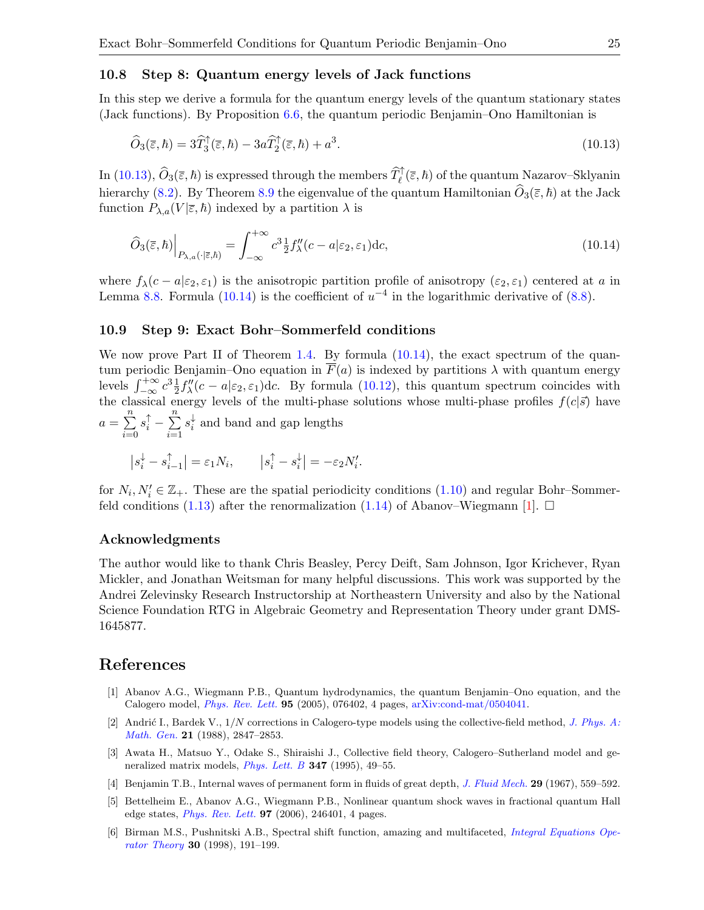#### 10.8 Step 8: Quantum energy levels of Jack functions

In this step we derive a formula for the quantum energy levels of the quantum stationary states (Jack functions). By Proposition  $6.6$ , the quantum periodic Benjamin–Ono Hamiltonian is

<span id="page-24-6"></span>
$$
\widehat{O}_3(\overline{\varepsilon}, \hbar) = 3\widehat{T}_3^{\uparrow}(\overline{\varepsilon}, \hbar) - 3a\widehat{T}_2^{\uparrow}(\overline{\varepsilon}, \hbar) + a^3. \tag{10.13}
$$

In [\(10.13\)](#page-24-6),  $\widehat{O}_3(\overline{\varepsilon},\hbar)$  is expressed through the members  $\widehat{T}_{\ell}^{\uparrow}(\overline{\varepsilon},\hbar)$  of the quantum Nazarov–Sklyanin hierarchy [\(8.2\)](#page-17-2). By Theorem [8.9](#page-19-4) the eigenvalue of the quantum Hamiltonian  $\widehat{O}_3(\bar{\varepsilon}, \hbar)$  at the Jack function  $P_{\lambda,a}(V|\bar{\varepsilon},\hbar)$  indexed by a partition  $\lambda$  is

<span id="page-24-7"></span>
$$
\widehat{O}_3(\overline{\varepsilon}, \hbar) \Big|_{P_{\lambda, a}(\cdot | \overline{\varepsilon}, \hbar)} = \int_{-\infty}^{+\infty} c^3 \frac{1}{2} f''_{\lambda}(c - a | \varepsilon_2, \varepsilon_1) \mathrm{d}c,\tag{10.14}
$$

where  $f_{\lambda}(c-a|\epsilon_2,\epsilon_1)$  is the anisotropic partition profile of anisotropy  $(\epsilon_2,\epsilon_1)$  centered at a in Lemma [8.8.](#page-19-2) Formula [\(10.14\)](#page-24-7) is the coefficient of  $u^{-4}$  in the logarithmic derivative of [\(8.8\)](#page-19-3).

#### 10.9 Step 9: Exact Bohr–Sommerfeld conditions

We now prove Part II of Theorem [1.4.](#page-3-0) By formula  $(10.14)$ , the exact spectrum of the quantum periodic Benjamin–Ono equation in  $\overline{F}(a)$  is indexed by partitions  $\lambda$  with quantum energy levels  $\int_{-\infty}^{+\infty} c^3 \frac{1}{2} f''_1(c - a | \varepsilon_2, \varepsilon_1)$ dc. By formula [\(10.12\)](#page-23-2), this quantum spectrum coincides with the classical energy levels of the multi-phase solutions whose multi-phase profiles  $f(c|\vec{s})$  have  $a=\sum_{n=1}^{\infty}$  $i=0$  $s_i^{\uparrow} - \sum_{i=1}^n$  $i=1$  $s_i^{\downarrow}$  $\frac{1}{i}$  and band and gap lengths

$$
|s_i^{\downarrow} - s_{i-1}^{\uparrow}| = \varepsilon_1 N_i
$$
,  $|s_i^{\uparrow} - s_i^{\downarrow}| = -\varepsilon_2 N_i'$ .

for  $N_i, N'_i \in \mathbb{Z}_+$ . These are the spatial periodicity conditions [\(1.10\)](#page-2-5) and regular Bohr–Sommer-feld conditions [\(1.13\)](#page-3-2) after the renormalization [\(1.14\)](#page-3-3) of Abanov–Wiegmann [\[1\]](#page-24-1).  $\Box$ 

#### Acknowledgments

The author would like to thank Chris Beasley, Percy Deift, Sam Johnson, Igor Krichever, Ryan Mickler, and Jonathan Weitsman for many helpful discussions. This work was supported by the Andrei Zelevinsky Research Instructorship at Northeastern University and also by the National Science Foundation RTG in Algebraic Geometry and Representation Theory under grant DMS-1645877.

## References

- <span id="page-24-1"></span>[1] Abanov A.G., Wiegmann P.B., Quantum hydrodynamics, the quantum Benjamin–Ono equation, and the Calogero model, [Phys. Rev. Lett.](https://doi.org/10.1103/PhysRevLett.95.076402) 95 (2005), 076402, 4 pages, [arXiv:cond-mat/0504041.](https://arxiv.org/abs/cond-mat/0504041)
- <span id="page-24-3"></span>[2] Andrić I., Bardek V.,  $1/N$  corrections in Calogero-type models using the collective-field method, [J. Phys. A:](https://doi.org/10.1088/0305-4470/21/13/009) [Math. Gen.](https://doi.org/10.1088/0305-4470/21/13/009) 21 (1988), 2847–2853.
- <span id="page-24-4"></span>[3] Awata H., Matsuo Y., Odake S., Shiraishi J., Collective field theory, Calogero–Sutherland model and generalized matrix models,  $Phys. Lett. B$  347 (1995), 49-55.
- <span id="page-24-0"></span>[4] Benjamin T.B., Internal waves of permanent form in fluids of great depth, *[J. Fluid Mech.](https://doi.org/10.1017/S002211206700103X)* 29 (1967), 559–592.
- <span id="page-24-2"></span>[5] Bettelheim E., Abanov A.G., Wiegmann P.B., Nonlinear quantum shock waves in fractional quantum Hall edge states, [Phys. Rev. Lett.](https://doi.org/10.1103/PhysRevLett.97.246401) 97 (2006), 246401, 4 pages.
- <span id="page-24-5"></span>[6] Birman M.S., Pushnitski A.B., Spectral shift function, amazing and multifaceted, [Integral Equations Ope](https://doi.org/10.1007/BF01238218)[rator Theory](https://doi.org/10.1007/BF01238218) 30 (1998), 191–199.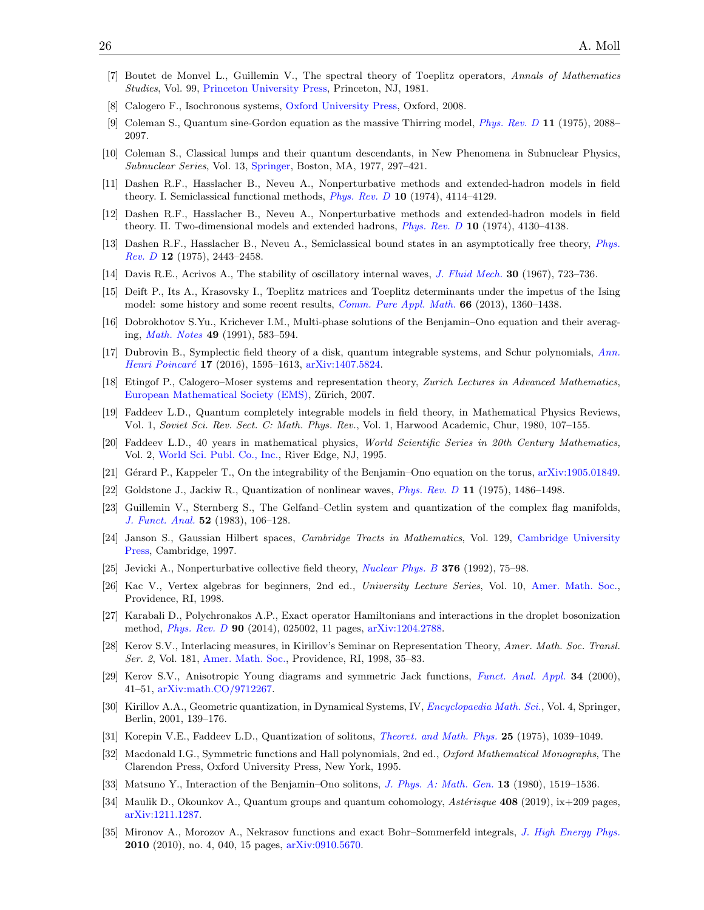- <span id="page-25-21"></span>[7] Boutet de Monvel L., Guillemin V., The spectral theory of Toeplitz operators, Annals of Mathematics Studies, Vol. 99, [Princeton University Press,](https://doi.org/10.1515/9781400881444) Princeton, NJ, 1981.
- <span id="page-25-15"></span>[8] Calogero F., Isochronous systems, [Oxford University Press,](https://doi.org/10.1093/acprof:oso/9780199535286.001.0001) Oxford, 2008.
- <span id="page-25-13"></span>[9] Coleman S., Quantum sine-Gordon equation as the massive Thirring model, [Phys. Rev. D](https://doi.org/10.1103/PhysRevD.11.2088) 11 (1975), 2088– 2097.
- <span id="page-25-6"></span>[10] Coleman S., Classical lumps and their quantum descendants, in New Phenomena in Subnuclear Physics, Subnuclear Series, Vol. 13, [Springer,](https://doi.org/10.1007/978-1-4613-4208-3_11) Boston, MA, 1977, 297–421.
- <span id="page-25-8"></span>[11] Dashen R.F., Hasslacher B., Neveu A., Nonperturbative methods and extended-hadron models in field theory. I. Semiclassical functional methods, [Phys. Rev. D](https://doi.org/10.1103/PhysRevD.10.4114) 10 (1974), 4114–4129.
- <span id="page-25-9"></span>[12] Dashen R.F., Hasslacher B., Neveu A., Nonperturbative methods and extended-hadron models in field theory. II. Two-dimensional models and extended hadrons, [Phys. Rev. D](https://doi.org/10.1103/PhysRevD.10.4130) 10 (1974), 4130–4138.
- <span id="page-25-10"></span>[13] Dashen R.F., Hasslacher B., Neveu A., Semiclassical bound states in an asymptotically free theory, [Phys.](https://doi.org/10.1103/PhysRevD.12.2443) [Rev. D](https://doi.org/10.1103/PhysRevD.12.2443) 12 (1975), 2443–2458.
- <span id="page-25-1"></span>[14] Davis R.E., Acrivos A., The stability of oscillatory internal waves, [J. Fluid Mech.](https://doi.org/10.1017/S0022112067001727) 30 (1967), 723–736.
- <span id="page-25-19"></span>[15] Deift P., Its A., Krasovsky I., Toeplitz matrices and Toeplitz determinants under the impetus of the Ising model: some history and some recent results, *[Comm. Pure Appl. Math.](https://doi.org/10.1002/cpa.21467)* **66** (2013), 1360–1438.
- <span id="page-25-2"></span>[16] Dobrokhotov S.Yu., Krichever I.M., Multi-phase solutions of the Benjamin–Ono equation and their averaging, [Math. Notes](https://doi.org/10.1007/BF01156581) 49 (1991), 583–594.
- <span id="page-25-25"></span>[17] Dubrovin B., Symplectic field theory of a disk, quantum integrable systems, and Schur polynomials, [Ann.](https://doi.org/10.1007/s00023-015-0449-2) Henri Poincaré 17 (2016), 1595-1613, [arXiv:1407.5824.](https://arxiv.org/abs/1407.5824)
- <span id="page-25-16"></span>[18] Etingof P., Calogero–Moser systems and representation theory, Zurich Lectures in Advanced Mathematics, [European Mathematical Society \(EMS\),](https://doi.org/10.4171/034) Zürich, 2007.
- <span id="page-25-27"></span>[19] Faddeev L.D., Quantum completely integrable models in field theory, in Mathematical Physics Reviews, Vol. 1, Soviet Sci. Rev. Sect. C: Math. Phys. Rev., Vol. 1, Harwood Academic, Chur, 1980, 107–155.
- <span id="page-25-7"></span>[20] Faddeev L.D., 40 years in mathematical physics, World Scientific Series in 20th Century Mathematics, Vol. 2, [World Sci. Publ. Co., Inc.,](https://doi.org/10.1142/2690) River Edge, NJ, 1995.
- <span id="page-25-4"></span>[21] Gérard P., Kappeler T., On the integrability of the Benjamin–Ono equation on the torus, [arXiv:1905.01849.](https://arxiv.org/abs/1905.01849)
- <span id="page-25-11"></span>[22] Goldstone J., Jackiw R., Quantization of nonlinear waves, [Phys. Rev. D](https://doi.org/10.1103/PhysRevD.11.1486) 11 (1975), 1486–1498.
- <span id="page-25-28"></span>[23] Guillemin V., Sternberg S., The Gelfand–Cetlin system and quantization of the complex flag manifolds, [J. Funct. Anal.](https://doi.org/10.1016/0022-1236(83)90092-7) 52 (1983), 106–128.
- <span id="page-25-22"></span>[24] Janson S., Gaussian Hilbert spaces, Cambridge Tracts in Mathematics, Vol. 129, [Cambridge University](https://doi.org/10.1017/CBO9780511526169) [Press,](https://doi.org/10.1017/CBO9780511526169) Cambridge, 1997.
- <span id="page-25-14"></span>[25] Jevicki A., Nonperturbative collective field theory, [Nuclear Phys. B](https://doi.org/10.1016/0550-3213(92)90068-M) 376 (1992), 75–98.
- <span id="page-25-23"></span>[26] Kac V., Vertex algebras for beginners, 2nd ed., University Lecture Series, Vol. 10, [Amer. Math. Soc.,](https://doi.org/10.1090/ulect/010) Providence, RI, 1998.
- <span id="page-25-26"></span>[27] Karabali D., Polychronakos A.P., Exact operator Hamiltonians and interactions in the droplet bosonization method, [Phys. Rev. D](https://doi.org/10.1103/PhysRevD.90.025002) 90 (2014), 025002, 11 pages, [arXiv:1204.2788.](https://arxiv.org/abs/1204.2788)
- <span id="page-25-20"></span>[28] Kerov S.V., Interlacing measures, in Kirillov's Seminar on Representation Theory, Amer. Math. Soc. Transl. Ser. 2, Vol. 181, [Amer. Math. Soc.,](https://doi.org/10.1090/trans2/181/02) Providence, RI, 1998, 35–83.
- <span id="page-25-5"></span>[29] Kerov S.V., Anisotropic Young diagrams and symmetric Jack functions, [Funct. Anal. Appl.](https://doi.org/10.1007/BF02467066) 34 (2000), 41–51, [arXiv:math.CO/9712267.](https://arxiv.org/abs/math.CO/9712267)
- <span id="page-25-0"></span>[30] Kirillov A.A., Geometric quantization, in Dynamical Systems, IV, *[Encyclopaedia Math. Sci.](https://doi.org/10.1007/978-3-662-06791-8_2)*, Vol. 4, Springer, Berlin, 2001, 139–176.
- <span id="page-25-12"></span>[31] Korepin V.E., Faddeev L.D., Quantization of solitons, [Theoret. and Math. Phys.](https://doi.org/10.1007/BF01028946) 25 (1975), 1039–1049.
- <span id="page-25-24"></span>[32] Macdonald I.G., Symmetric functions and Hall polynomials, 2nd ed., Oxford Mathematical Monographs, The Clarendon Press, Oxford University Press, New York, 1995.
- <span id="page-25-3"></span>[33] Matsuno Y., Interaction of the Benjamin–Ono solitons, *[J. Phys. A: Math. Gen.](https://doi.org/10.1088/0305-4470/13/5/012)* **13** (1980), 1519–1536.
- <span id="page-25-17"></span>[34] Maulik D., Okounkov A., Quantum groups and quantum cohomology, Astérisque 408 (2019), ix+209 pages, [arXiv:1211.1287.](https://arxiv.org/abs/1211.1287)
- <span id="page-25-18"></span>[35] Mironov A., Morozov A., Nekrasov functions and exact Bohr–Sommerfeld integrals, [J. High Energy Phys.](https://doi.org/10.1007/JHEP04(2010)040) 2010 (2010), no. 4, 040, 15 pages, [arXiv:0910.5670.](https://arxiv.org/abs/0910.5670)